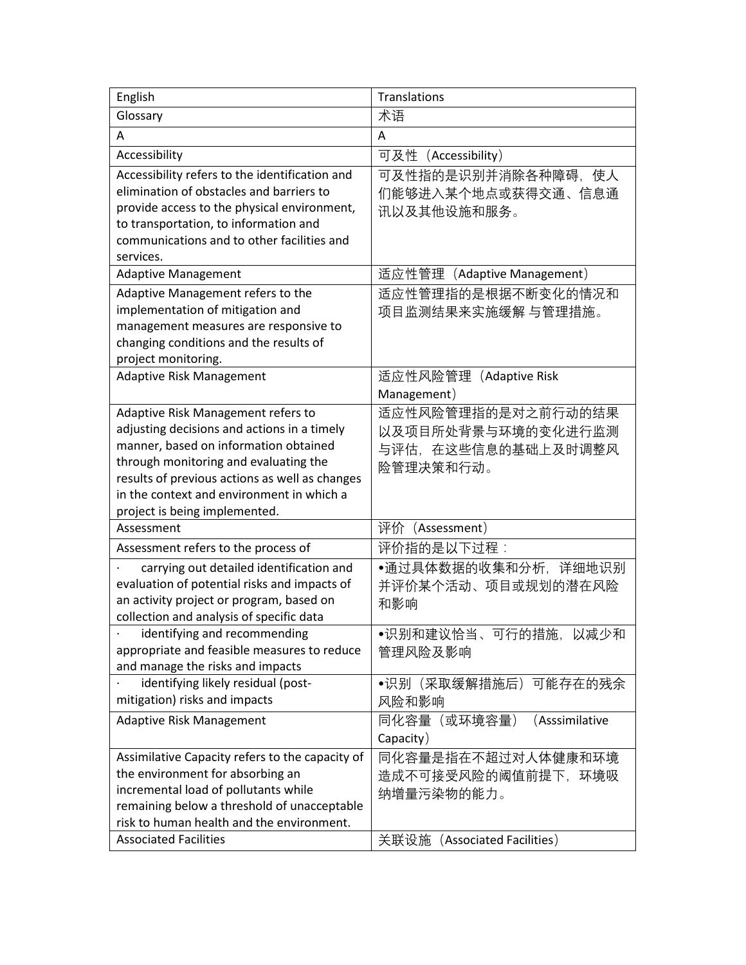| English                                                                                                                                                                                                                                                                                             | Translations                                                                              |
|-----------------------------------------------------------------------------------------------------------------------------------------------------------------------------------------------------------------------------------------------------------------------------------------------------|-------------------------------------------------------------------------------------------|
| Glossary                                                                                                                                                                                                                                                                                            | 术语                                                                                        |
| А                                                                                                                                                                                                                                                                                                   | A                                                                                         |
| Accessibility                                                                                                                                                                                                                                                                                       | 可及性(Accessibility)                                                                        |
| Accessibility refers to the identification and<br>elimination of obstacles and barriers to<br>provide access to the physical environment,<br>to transportation, to information and<br>communications and to other facilities and<br>services.                                                       | 可及性指的是识别并消除各种障碍,使人<br>们能够进入某个地点或获得交通、信息通<br>讯以及其他设施和服务。                                   |
| <b>Adaptive Management</b>                                                                                                                                                                                                                                                                          | 适应性管理 (Adaptive Management)                                                               |
| Adaptive Management refers to the<br>implementation of mitigation and<br>management measures are responsive to<br>changing conditions and the results of<br>project monitoring.                                                                                                                     | 适应性管理指的是根据不断变化的情况和<br>项目监测结果来实施缓解 与管理措施。                                                  |
| <b>Adaptive Risk Management</b>                                                                                                                                                                                                                                                                     | 适应性风险管理 (Adaptive Risk<br>Management)                                                     |
| Adaptive Risk Management refers to<br>adjusting decisions and actions in a timely<br>manner, based on information obtained<br>through monitoring and evaluating the<br>results of previous actions as well as changes<br>in the context and environment in which a<br>project is being implemented. | 适应性风险管理指的是对之前行动的结果<br>以及项目所处背景与环境的变化进行监测<br>与评估,在这些信息的基础上及时调整风<br>险管理决策和行动。               |
| Assessment                                                                                                                                                                                                                                                                                          | 评价 (Assessment)                                                                           |
| Assessment refers to the process of                                                                                                                                                                                                                                                                 | 评价指的是以下过程:                                                                                |
| carrying out detailed identification and<br>evaluation of potential risks and impacts of<br>an activity project or program, based on<br>collection and analysis of specific data                                                                                                                    | •通过具体数据的收集和分析,详细地识别<br>并评价某个活动、项目或规划的潜在风险<br>和影响                                          |
| identifying and recommending<br>appropriate and feasible measures to reduce<br>and manage the risks and impacts                                                                                                                                                                                     | •识别和建议恰当、可行的措施, 以减少和<br>管理风险及影响                                                           |
| identifying likely residual (post-<br>mitigation) risks and impacts                                                                                                                                                                                                                                 | ●识别(采取缓解措施后)可能存在的残余<br>风险和影响                                                              |
| <b>Adaptive Risk Management</b>                                                                                                                                                                                                                                                                     | 同化容量 (或环境容量)<br>(Asssimilative<br>Capacity)                                               |
| Assimilative Capacity refers to the capacity of<br>the environment for absorbing an<br>incremental load of pollutants while<br>remaining below a threshold of unacceptable<br>risk to human health and the environment.<br><b>Associated Facilities</b>                                             | 同化容量是指在不超过对人体健康和环境<br>造成不可接受风险的阈值前提下,环境吸<br>纳增量污染物的能力。<br>关联设施<br>(Associated Facilities) |
|                                                                                                                                                                                                                                                                                                     |                                                                                           |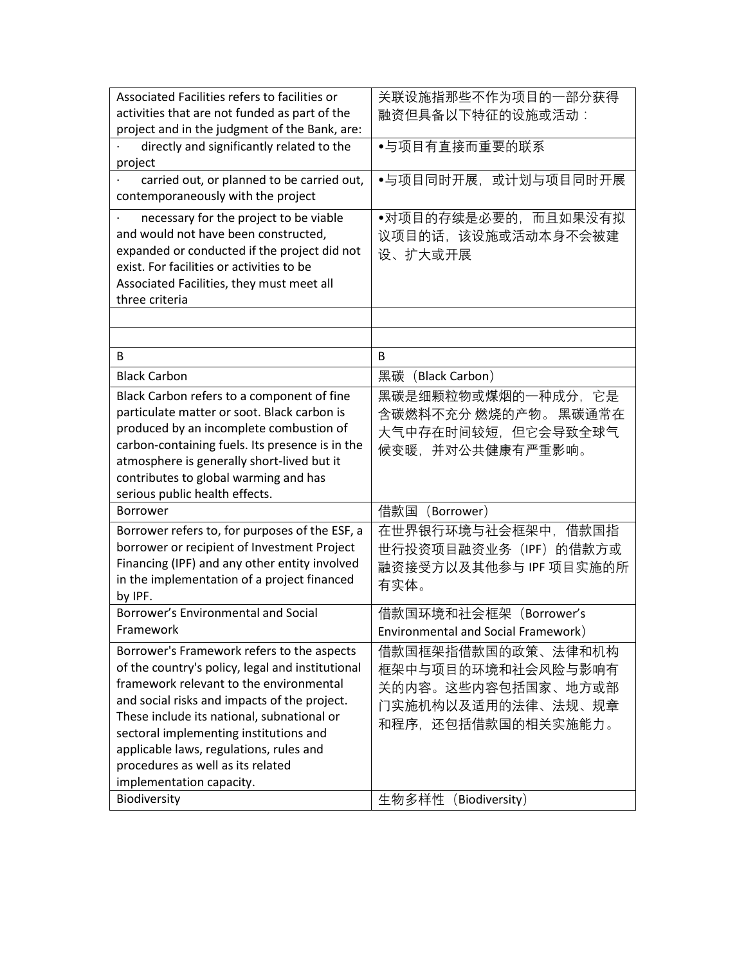| Associated Facilities refers to facilities or    | 关联设施指那些不作为项目的一部分获得                  |
|--------------------------------------------------|-------------------------------------|
| activities that are not funded as part of the    | 融资但具备以下特征的设施或活动:                    |
| project and in the judgment of the Bank, are:    |                                     |
| directly and significantly related to the        | ●与项目有直接而重要的联系                       |
| project                                          |                                     |
| carried out, or planned to be carried out,       | ●与项目同时开展,或计划与项目同时开展                 |
| contemporaneously with the project               |                                     |
| necessary for the project to be viable           | •对项目的存续是必要的,而且如果没有拟                 |
| and would not have been constructed,             | 议项目的话,该设施或活动本身不会被建                  |
| expanded or conducted if the project did not     | 设、扩大或开展                             |
| exist. For facilities or activities to be        |                                     |
| Associated Facilities, they must meet all        |                                     |
| three criteria                                   |                                     |
|                                                  |                                     |
|                                                  |                                     |
| B                                                | B                                   |
| <b>Black Carbon</b>                              | 黑碳 (Black Carbon)                   |
| Black Carbon refers to a component of fine       | 黑碳是细颗粒物或煤烟的一种成分, 它是                 |
| particulate matter or soot. Black carbon is      | 含碳燃料不充分 燃烧的产物。 黑碳通常在                |
| produced by an incomplete combustion of          | 大气中存在时间较短,但它会导致全球气                  |
| carbon-containing fuels. Its presence is in the  | 候变暖,并对公共健康有严重影响。                    |
| atmosphere is generally short-lived but it       |                                     |
| contributes to global warming and has            |                                     |
| serious public health effects.                   |                                     |
| <b>Borrower</b>                                  | 借款国<br>(Borrower)                   |
| Borrower refers to, for purposes of the ESF, a   | 在世界银行环境与社会框架中,借款国指                  |
| borrower or recipient of Investment Project      | 世行投资项目融资业务(IPF)的借款方或                |
| Financing (IPF) and any other entity involved    | 融资接受方以及其他参与 IPF 项目实施的所              |
| in the implementation of a project financed      | 有实体。                                |
| by IPF.                                          |                                     |
| Borrower's Environmental and Social              | 借款国环境和社会框架(Borrower's               |
| Framework                                        | Environmental and Social Framework) |
| Borrower's Framework refers to the aspects       | 借款国框架指借款国的政策、法律和机构                  |
| of the country's policy, legal and institutional | 框架中与项目的环境和社会风险与影响有                  |
| framework relevant to the environmental          | 关的内容。这些内容包括国家、地方或部                  |
| and social risks and impacts of the project.     | 门实施机构以及适用的法律、法规、规章                  |
| These include its national, subnational or       |                                     |
| sectoral implementing institutions and           | 和程序,还包括借款国的相关实施能力。                  |
| applicable laws, regulations, rules and          |                                     |
| procedures as well as its related                |                                     |
| implementation capacity.                         |                                     |
| Biodiversity                                     | 生物多样性<br>(Biodiversity)             |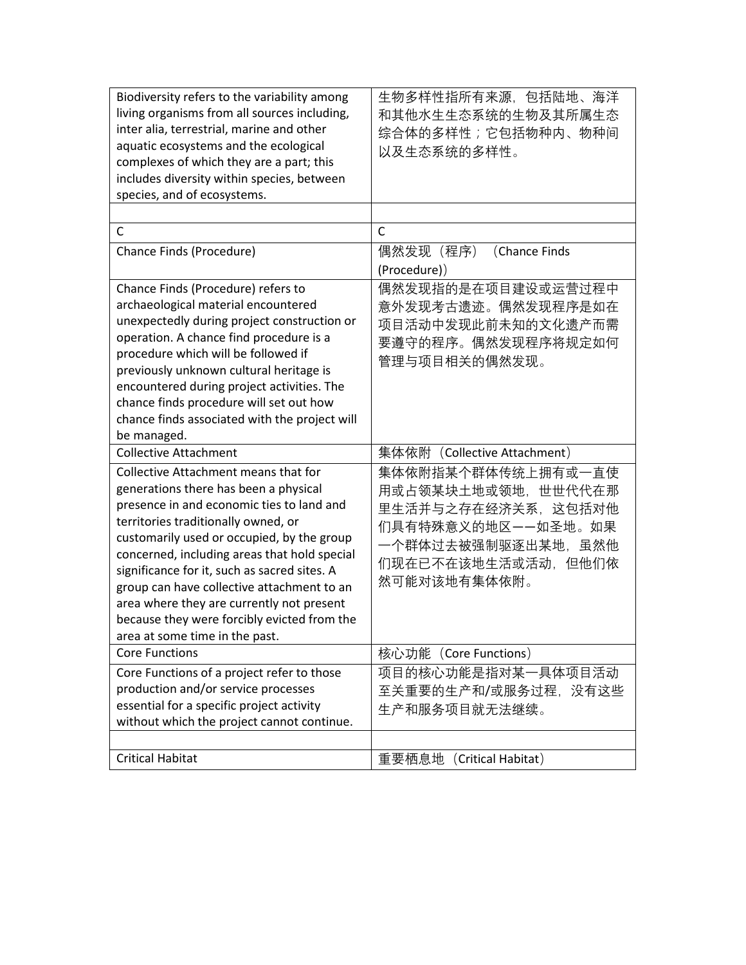| Biodiversity refers to the variability among<br>living organisms from all sources including,<br>inter alia, terrestrial, marine and other<br>aquatic ecosystems and the ecological<br>complexes of which they are a part; this<br>includes diversity within species, between<br>species, and of ecosystems.                                                                                                                                                                                 | 生物多样性指所有来源,包括陆地、海洋<br>和其他水生生态系统的生物及其所属生态<br>综合体的多样性;它包括物种内、物种间<br>以及生态系统的多样性。                                                                    |
|---------------------------------------------------------------------------------------------------------------------------------------------------------------------------------------------------------------------------------------------------------------------------------------------------------------------------------------------------------------------------------------------------------------------------------------------------------------------------------------------|--------------------------------------------------------------------------------------------------------------------------------------------------|
|                                                                                                                                                                                                                                                                                                                                                                                                                                                                                             |                                                                                                                                                  |
| C                                                                                                                                                                                                                                                                                                                                                                                                                                                                                           | $\mathsf{C}$                                                                                                                                     |
| Chance Finds (Procedure)                                                                                                                                                                                                                                                                                                                                                                                                                                                                    | 偶然发现(程序)<br>(Chance Finds<br>(Procedure))                                                                                                        |
| Chance Finds (Procedure) refers to<br>archaeological material encountered<br>unexpectedly during project construction or<br>operation. A chance find procedure is a<br>procedure which will be followed if<br>previously unknown cultural heritage is<br>encountered during project activities. The<br>chance finds procedure will set out how<br>chance finds associated with the project will<br>be managed.                                                                              | 偶然发现指的是在项目建设或运营过程中<br>意外发现考古遗迹。偶然发现程序是如在<br>项目活动中发现此前未知的文化遗产而需<br>要遵守的程序。偶然发现程序将规定如何<br>管理与项目相关的偶然发现。                                            |
| <b>Collective Attachment</b>                                                                                                                                                                                                                                                                                                                                                                                                                                                                | 集体依附 (Collective Attachment)                                                                                                                     |
| Collective Attachment means that for<br>generations there has been a physical<br>presence in and economic ties to land and<br>territories traditionally owned, or<br>customarily used or occupied, by the group<br>concerned, including areas that hold special<br>significance for it, such as sacred sites. A<br>group can have collective attachment to an<br>area where they are currently not present<br>because they were forcibly evicted from the<br>area at some time in the past. | 集体依附指某个群体传统上拥有或一直使<br>用或占领某块土地或领地,世世代代在那<br>里生活并与之存在经济关系,这包括对他<br>们具有特殊意义的地区――如圣地。如果<br>一个群体过去被强制驱逐出某地,虽然他<br>们现在已不在该地生活或活动,但他们依<br>然可能对该地有集体依附。 |
| <b>Core Functions</b>                                                                                                                                                                                                                                                                                                                                                                                                                                                                       | 核心功能 (Core Functions)                                                                                                                            |
| Core Functions of a project refer to those<br>production and/or service processes<br>essential for a specific project activity<br>without which the project cannot continue.                                                                                                                                                                                                                                                                                                                | 项目的核心功能是指对某一具体项目活动<br>至关重要的生产和/或服务过程,没有这些<br>生产和服务项目就无法继续。                                                                                       |
|                                                                                                                                                                                                                                                                                                                                                                                                                                                                                             |                                                                                                                                                  |
| <b>Critical Habitat</b>                                                                                                                                                                                                                                                                                                                                                                                                                                                                     | (Critical Habitat)<br>重要栖息地                                                                                                                      |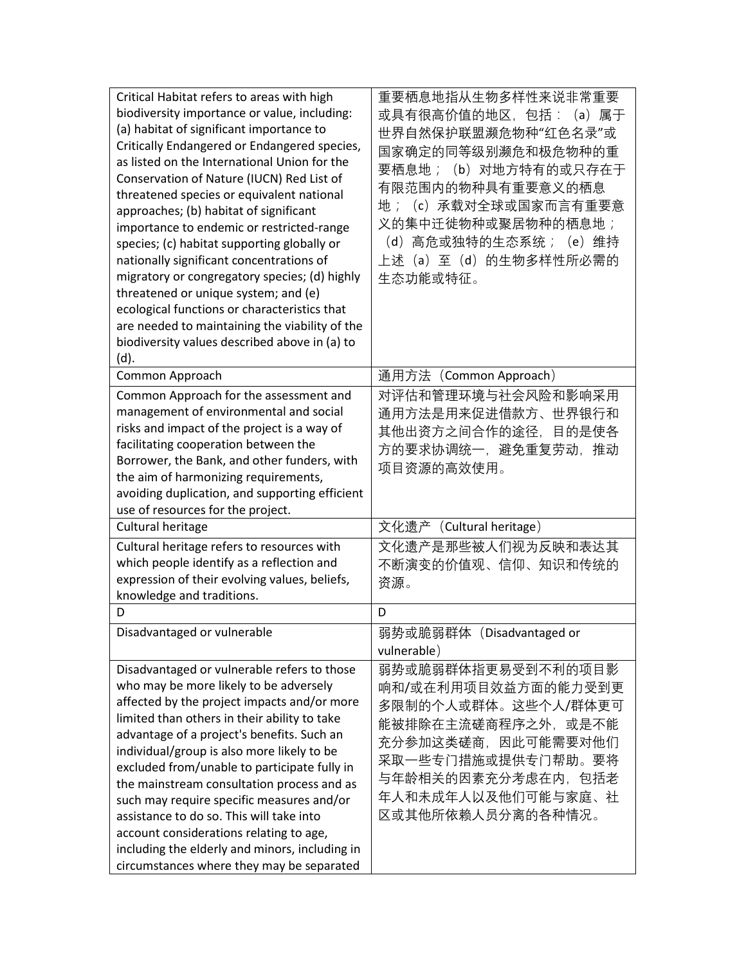| Critical Habitat refers to areas with high     | 重要栖息地指从生物多样性来说非常重要          |
|------------------------------------------------|-----------------------------|
| biodiversity importance or value, including:   | 或具有很高价值的地区,包括:(a)属于         |
| (a) habitat of significant importance to       | 世界自然保护联盟濒危物种"红色名录"或         |
| Critically Endangered or Endangered species,   | 国家确定的同等级别濒危和极危物种的重          |
| as listed on the International Union for the   | 要栖息地; (b) 对地方特有的或只存在于       |
| Conservation of Nature (IUCN) Red List of      |                             |
| threatened species or equivalent national      | 有限范围内的物种具有重要意义的栖息           |
| approaches; (b) habitat of significant         | (c) 承载对全球或国家而言有重要意<br>地;    |
| importance to endemic or restricted-range      | 义的集中迁徙物种或聚居物种的栖息地;          |
| species; (c) habitat supporting globally or    | (d) 高危或独特的生态系统; (e) 维持      |
| nationally significant concentrations of       | 上述(a)至(d)的生物多样性所必需的         |
| migratory or congregatory species; (d) highly  | 生态功能或特征。                    |
| threatened or unique system; and (e)           |                             |
| ecological functions or characteristics that   |                             |
| are needed to maintaining the viability of the |                             |
| biodiversity values described above in (a) to  |                             |
| (d).                                           |                             |
| Common Approach                                | 通用方法 (Common Approach)      |
| Common Approach for the assessment and         | 对评估和管理环境与社会风险和影响采用          |
| management of environmental and social         | 通用方法是用来促进借款方、世界银行和          |
| risks and impact of the project is a way of    | 其他出资方之间合作的途径,目的是使各          |
| facilitating cooperation between the           | 方的要求协调统一,避免重复劳动,推动          |
| Borrower, the Bank, and other funders, with    |                             |
| the aim of harmonizing requirements,           | 项目资源的高效使用。                  |
| avoiding duplication, and supporting efficient |                             |
| use of resources for the project.              |                             |
| Cultural heritage                              | 文化遗产<br>(Cultural heritage) |
| Cultural heritage refers to resources with     | 文化遗产是那些被人们视为反映和表达其          |
| which people identify as a reflection and      | 不断演变的价值观、信仰、知识和传统的          |
| expression of their evolving values, beliefs,  | 资源。                         |
| knowledge and traditions.                      |                             |
| D                                              | D                           |
| Disadvantaged or vulnerable                    | 弱势或脆弱群体 (Disadvantaged or   |
|                                                | vulnerable)                 |
| Disadvantaged or vulnerable refers to those    | 弱势或脆弱群体指更易受到不利的项目影          |
| who may be more likely to be adversely         | 响和/或在利用项目效益方面的能力受到更         |
| affected by the project impacts and/or more    | 多限制的个人或群体。这些个人/群体更可         |
| limited than others in their ability to take   | 能被排除在主流磋商程序之外,或是不能          |
| advantage of a project's benefits. Such an     |                             |
| individual/group is also more likely to be     | 充分参加这类磋商,因此可能需要对他们          |
| excluded from/unable to participate fully in   | 采取一些专门措施或提供专门帮助。要将          |
| the mainstream consultation process and as     | 与年龄相关的因素充分考虑在内,包括老          |
| such may require specific measures and/or      | 年人和未成年人以及他们可能与家庭、社          |
| assistance to do so. This will take into       | 区或其他所依赖人员分离的各种情况。           |
| account considerations relating to age,        |                             |
|                                                |                             |
| including the elderly and minors, including in |                             |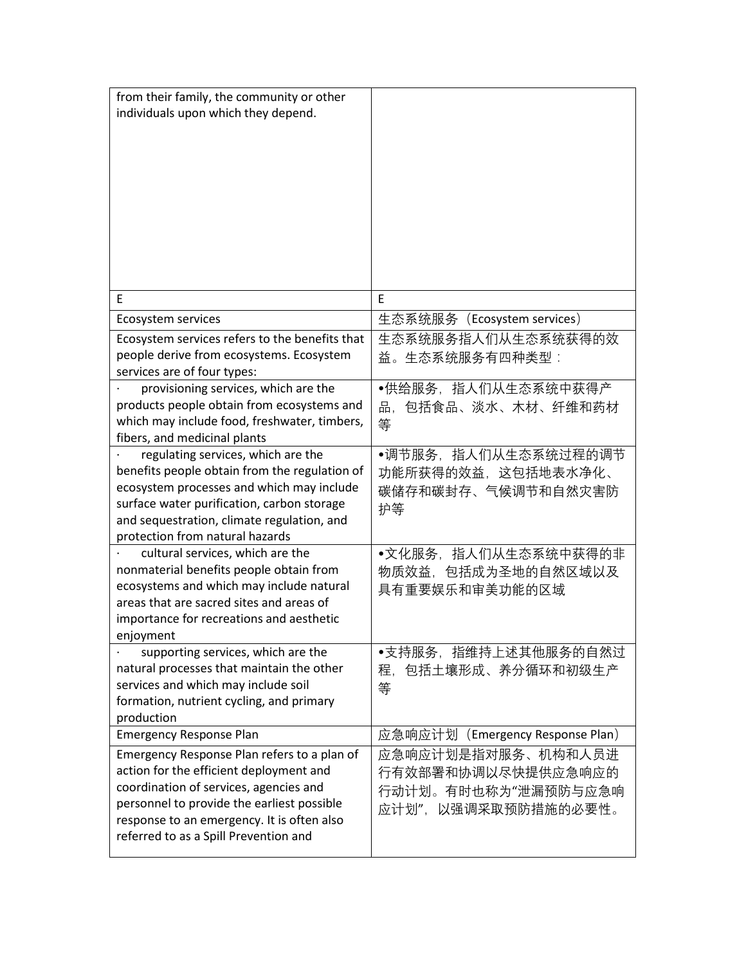| from their family, the community or other<br>individuals upon which they depend.                                                                                                                                                                                      |                                                                                        |
|-----------------------------------------------------------------------------------------------------------------------------------------------------------------------------------------------------------------------------------------------------------------------|----------------------------------------------------------------------------------------|
| E                                                                                                                                                                                                                                                                     | E                                                                                      |
| Ecosystem services                                                                                                                                                                                                                                                    | 生态系统服务 (Ecosystem services)                                                            |
| Ecosystem services refers to the benefits that<br>people derive from ecosystems. Ecosystem<br>services are of four types:                                                                                                                                             | 生态系统服务指人们从生态系统获得的效<br>益。生态系统服务有四种类型:                                                   |
| provisioning services, which are the<br>products people obtain from ecosystems and<br>which may include food, freshwater, timbers,<br>fibers, and medicinal plants                                                                                                    | ●供给服务,指人们从生态系统中获得产<br>包括食品、淡水、木材、纤维和药材<br>品,<br>等                                      |
| regulating services, which are the<br>benefits people obtain from the regulation of<br>ecosystem processes and which may include<br>surface water purification, carbon storage<br>and sequestration, climate regulation, and<br>protection from natural hazards       | •调节服务, 指人们从生态系统过程的调节<br>功能所获得的效益, 这包括地表水净化、<br>碳储存和碳封存、气候调节和自然灾害防<br>护等                |
| cultural services, which are the<br>nonmaterial benefits people obtain from<br>ecosystems and which may include natural<br>areas that are sacred sites and areas of<br>importance for recreations and aesthetic<br>enjoyment                                          | •文化服务, 指人们从生态系统中获得的非<br>物质效益,包括成为圣地的自然区域以及<br>具有重要娱乐和审美功能的区域                           |
| supporting services, which are the<br>natural processes that maintain the other<br>services and which may include soil<br>formation, nutrient cycling, and primary<br>production                                                                                      | ●支持服务,指维持上述其他服务的自然过<br>程,包括土壤形成、养分循环和初级生产<br>等                                         |
| <b>Emergency Response Plan</b>                                                                                                                                                                                                                                        | 应急响应计划(Emergency Response Plan)                                                        |
| Emergency Response Plan refers to a plan of<br>action for the efficient deployment and<br>coordination of services, agencies and<br>personnel to provide the earliest possible<br>response to an emergency. It is often also<br>referred to as a Spill Prevention and | 应急响应计划是指对服务、机构和人员进<br>行有效部署和协调以尽快提供应急响应的<br>行动计划。有时也称为"泄漏预防与应急响<br>应计划",以强调采取预防措施的必要性。 |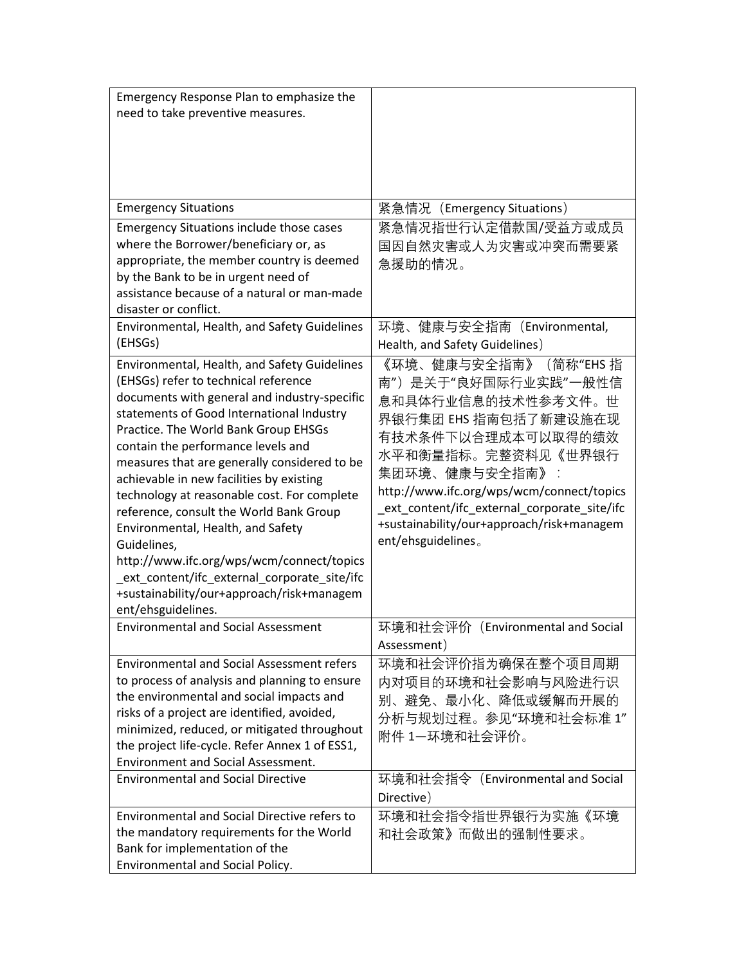| Emergency Response Plan to emphasize the<br>need to take preventive measures.                                                                                                                                                                                                                                                                                                                                                                                                                                                                                                                                                                                            |                                                                                                                                                                                                                                                                                                                           |
|--------------------------------------------------------------------------------------------------------------------------------------------------------------------------------------------------------------------------------------------------------------------------------------------------------------------------------------------------------------------------------------------------------------------------------------------------------------------------------------------------------------------------------------------------------------------------------------------------------------------------------------------------------------------------|---------------------------------------------------------------------------------------------------------------------------------------------------------------------------------------------------------------------------------------------------------------------------------------------------------------------------|
| <b>Emergency Situations</b>                                                                                                                                                                                                                                                                                                                                                                                                                                                                                                                                                                                                                                              | 紧急情况 (Emergency Situations)                                                                                                                                                                                                                                                                                               |
| <b>Emergency Situations include those cases</b><br>where the Borrower/beneficiary or, as<br>appropriate, the member country is deemed<br>by the Bank to be in urgent need of<br>assistance because of a natural or man-made<br>disaster or conflict.                                                                                                                                                                                                                                                                                                                                                                                                                     | 紧急情况指世行认定借款国/受益方或成员<br>国因自然灾害或人为灾害或冲突而需要紧<br>急援助的情况。                                                                                                                                                                                                                                                                      |
| Environmental, Health, and Safety Guidelines<br>(EHSGs)                                                                                                                                                                                                                                                                                                                                                                                                                                                                                                                                                                                                                  | 环境、健康与安全指南(Environmental,<br>Health, and Safety Guidelines)                                                                                                                                                                                                                                                               |
| Environmental, Health, and Safety Guidelines<br>(EHSGs) refer to technical reference<br>documents with general and industry-specific<br>statements of Good International Industry<br>Practice. The World Bank Group EHSGs<br>contain the performance levels and<br>measures that are generally considered to be<br>achievable in new facilities by existing<br>technology at reasonable cost. For complete<br>reference, consult the World Bank Group<br>Environmental, Health, and Safety<br>Guidelines,<br>http://www.ifc.org/wps/wcm/connect/topics<br>ext_content/ifc_external_corporate_site/ifc<br>+sustainability/our+approach/risk+managem<br>ent/ehsguidelines. | 《环境、健康与安全指南》(简称"EHS 指<br>南")是关于"良好国际行业实践"一般性信<br>息和具体行业信息的技术性参考文件。世<br>界银行集团 EHS 指南包括了新建设施在现<br>有技术条件下以合理成本可以取得的绩效<br>水平和衡量指标。完整资料见《世界银行<br>集团环境、健康与安全指南》<br>http://www.ifc.org/wps/wcm/connect/topics<br>_ext_content/ifc_external_corporate_site/ifc<br>+sustainability/our+approach/risk+managem<br>ent/ehsguidelines. |
| <b>Environmental and Social Assessment</b>                                                                                                                                                                                                                                                                                                                                                                                                                                                                                                                                                                                                                               | 环境和社会评价<br>(Environmental and Social<br>Assessment)                                                                                                                                                                                                                                                                       |
| <b>Environmental and Social Assessment refers</b><br>to process of analysis and planning to ensure<br>the environmental and social impacts and<br>risks of a project are identified, avoided,<br>minimized, reduced, or mitigated throughout<br>the project life-cycle. Refer Annex 1 of ESS1,<br><b>Environment and Social Assessment.</b><br><b>Environmental and Social Directive</b>                                                                                                                                                                                                                                                                                 | 环境和社会评价指为确保在整个项目周期<br>内对项目的环境和社会影响与风险进行识<br>别、避免、最小化、降低或缓解而开展的<br>分析与规划过程。参见"环境和社会标准 1"<br>附件 1—环境和社会评价。<br>环境和社会指令 (Environmental and Social                                                                                                                                                                             |
|                                                                                                                                                                                                                                                                                                                                                                                                                                                                                                                                                                                                                                                                          | Directive)                                                                                                                                                                                                                                                                                                                |
| <b>Environmental and Social Directive refers to</b><br>the mandatory requirements for the World<br>Bank for implementation of the<br>Environmental and Social Policy.                                                                                                                                                                                                                                                                                                                                                                                                                                                                                                    | 环境和社会指令指世界银行为实施《环境<br>和社会政策》而做出的强制性要求。                                                                                                                                                                                                                                                                                    |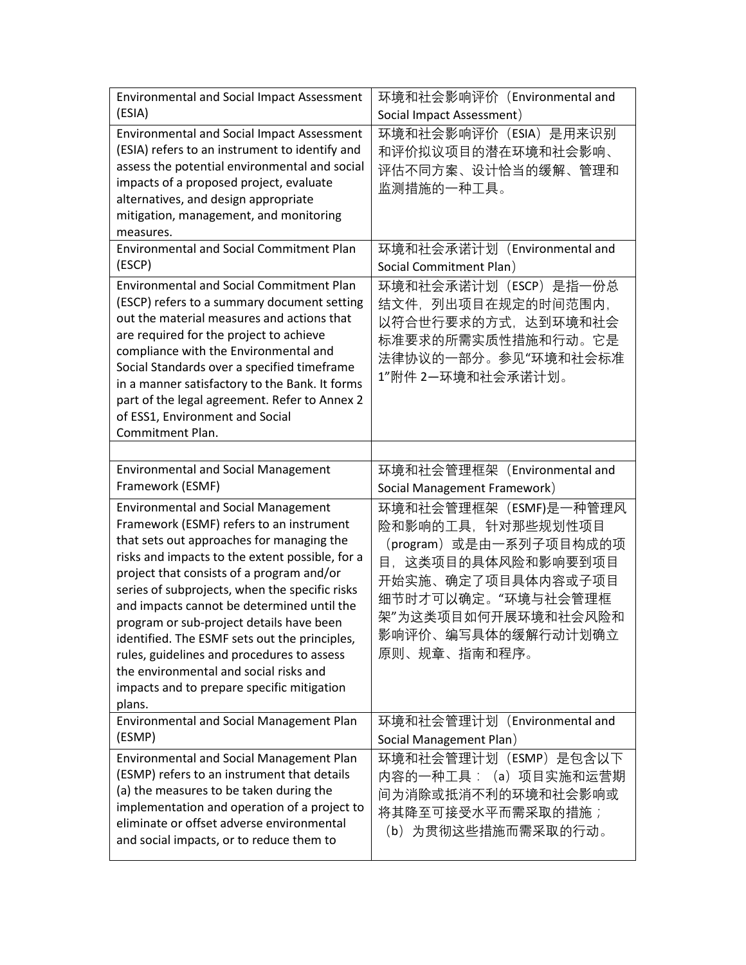| <b>Environmental and Social Impact Assessment</b><br>(ESIA)                                                                                                                                                                                                                                                                                                                                                                                                                                                              | 环境和社会影响评价(Environmental and<br>Social Impact Assessment)                                                                                                                                               |
|--------------------------------------------------------------------------------------------------------------------------------------------------------------------------------------------------------------------------------------------------------------------------------------------------------------------------------------------------------------------------------------------------------------------------------------------------------------------------------------------------------------------------|--------------------------------------------------------------------------------------------------------------------------------------------------------------------------------------------------------|
| <b>Environmental and Social Impact Assessment</b><br>(ESIA) refers to an instrument to identify and<br>assess the potential environmental and social<br>impacts of a proposed project, evaluate<br>alternatives, and design appropriate<br>mitigation, management, and monitoring<br>measures.                                                                                                                                                                                                                           | 环境和社会影响评价 (ESIA) 是用来识别<br>和评价拟议项目的潜在环境和社会影响、<br>评估不同方案、设计恰当的缓解、管理和<br>监测措施的一种工具。                                                                                                                       |
| <b>Environmental and Social Commitment Plan</b><br>(ESCP)                                                                                                                                                                                                                                                                                                                                                                                                                                                                | 环境和社会承诺计划 (Environmental and<br>Social Commitment Plan)                                                                                                                                                |
| <b>Environmental and Social Commitment Plan</b><br>(ESCP) refers to a summary document setting<br>out the material measures and actions that<br>are required for the project to achieve<br>compliance with the Environmental and<br>Social Standards over a specified timeframe<br>in a manner satisfactory to the Bank. It forms<br>part of the legal agreement. Refer to Annex 2<br>of ESS1, Environment and Social<br>Commitment Plan.                                                                                | 环境和社会承诺计划(ESCP)是指一份总<br>结文件, 列出项目在规定的时间范围内,<br>以符合世行要求的方式,达到环境和社会<br>标准要求的所需实质性措施和行动。它是<br>法律协议的一部分。参见"环境和社会标准<br>1"附件 2-环境和社会承诺计划。                                                                    |
| <b>Environmental and Social Management</b><br>Framework (ESMF)                                                                                                                                                                                                                                                                                                                                                                                                                                                           | 环境和社会管理框架 (Environmental and<br>Social Management Framework)                                                                                                                                           |
| <b>Environmental and Social Management</b><br>Framework (ESMF) refers to an instrument<br>that sets out approaches for managing the<br>risks and impacts to the extent possible, for a<br>project that consists of a program and/or<br>series of subprojects, when the specific risks<br>and impacts cannot be determined until the<br>program or sub-project details have been<br>identified. The ESMF sets out the principles,<br>rules, guidelines and procedures to assess<br>the environmental and social risks and | 环境和社会管理框架 (ESMF)是一种管理风<br>险和影响的工具, 针对那些规划性项目<br>(program) 或是由一系列子项目构成的项<br>目,这类项目的具体风险和影响要到项目<br>开始实施、确定了项目具体内容或子项目<br>细节时才可以确定。"环境与社会管理框<br>架"为这类项目如何开展环境和社会风险和<br>影响评价、编写具体的缓解行动计划确立<br>原则、规章、指南和程序。 |
| impacts and to prepare specific mitigation                                                                                                                                                                                                                                                                                                                                                                                                                                                                               |                                                                                                                                                                                                        |
| plans.<br>Environmental and Social Management Plan<br>(ESMP)<br><b>Environmental and Social Management Plan</b>                                                                                                                                                                                                                                                                                                                                                                                                          | 环境和社会管理计划(Environmental and<br>Social Management Plan)<br>环境和社会管理计划 (ESMP) 是包含以下                                                                                                                       |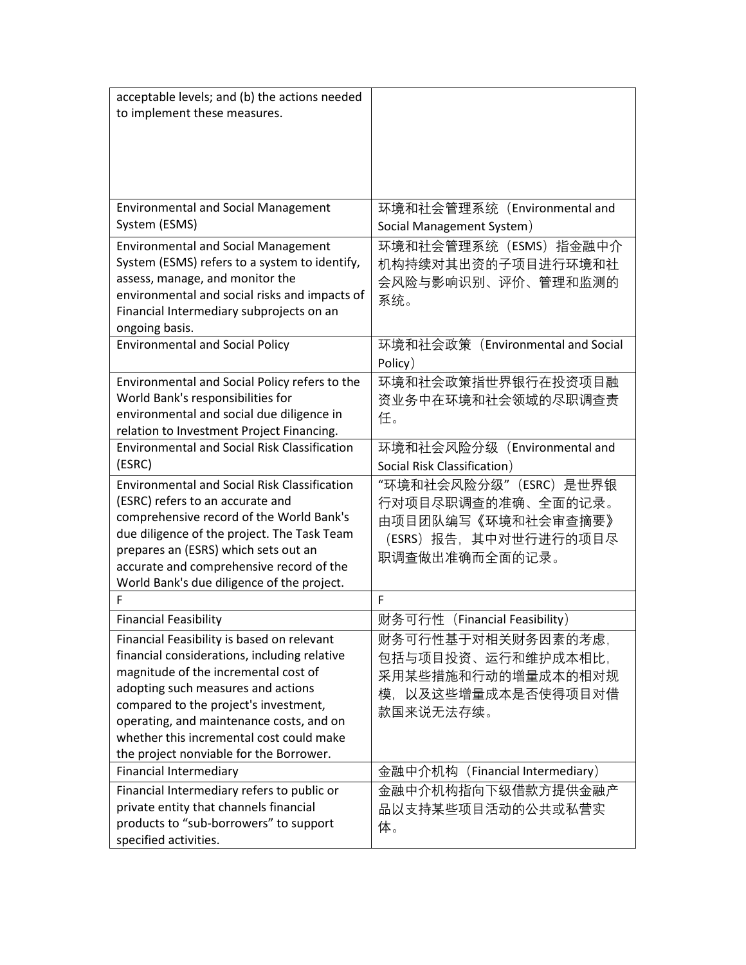| acceptable levels; and (b) the actions needed       |                                  |
|-----------------------------------------------------|----------------------------------|
| to implement these measures.                        |                                  |
|                                                     |                                  |
|                                                     |                                  |
|                                                     |                                  |
|                                                     |                                  |
|                                                     |                                  |
| <b>Environmental and Social Management</b>          | 环境和社会管理系统 (Environmental and     |
| System (ESMS)                                       | Social Management System)        |
| <b>Environmental and Social Management</b>          | 环境和社会管理系统 (ESMS) 指金融中介           |
| System (ESMS) refers to a system to identify,       | 机构持续对其出资的子项目进行环境和社               |
| assess, manage, and monitor the                     | 会风险与影响识别、评价、管理和监测的               |
| environmental and social risks and impacts of       | 系统。                              |
| Financial Intermediary subprojects on an            |                                  |
| ongoing basis.                                      |                                  |
| <b>Environmental and Social Policy</b>              | 环境和社会政策(Environmental and Social |
|                                                     | Policy)                          |
| Environmental and Social Policy refers to the       | 环境和社会政策指世界银行在投资项目融               |
| World Bank's responsibilities for                   | 资业务中在环境和社会领域的尽职调查责               |
| environmental and social due diligence in           | 任。                               |
| relation to Investment Project Financing.           |                                  |
| <b>Environmental and Social Risk Classification</b> | 环境和社会风险分级 (Environmental and     |
| (ESRC)                                              | Social Risk Classification)      |
| <b>Environmental and Social Risk Classification</b> | "环境和社会风险分级"(ESRC)是世界银            |
| (ESRC) refers to an accurate and                    | 行对项目尽职调查的准确、全面的记录。               |
| comprehensive record of the World Bank's            | 由项目团队编写《环境和社会审查摘要》               |
| due diligence of the project. The Task Team         | (ESRS) 报告, 其中对世行进行的项目尽           |
| prepares an (ESRS) which sets out an                | 职调查做出准确而全面的记录。                   |
| accurate and comprehensive record of the            |                                  |
| World Bank's due diligence of the project.          |                                  |
| F                                                   | F                                |
| <b>Financial Feasibility</b>                        | (Financial Feasibility)<br>财务可行性 |
| Financial Feasibility is based on relevant          | 财务可行性基于对相关财务因素的考虑,               |
| financial considerations, including relative        | 包括与项目投资、运行和维护成本相比,               |
| magnitude of the incremental cost of                | 采用某些措施和行动的增量成本的相对规               |
| adopting such measures and actions                  | 以及这些增量成本是否使得项目对借<br>模.           |
| compared to the project's investment,               | 款国来说无法存续。                        |
| operating, and maintenance costs, and on            |                                  |
| whether this incremental cost could make            |                                  |
| the project nonviable for the Borrower.             |                                  |
| <b>Financial Intermediary</b>                       | 金融中介机构(Financial Intermediary)   |
| Financial Intermediary refers to public or          | 金融中介机构指向下级借款方提供金融产               |
| private entity that channels financial              | 品以支持某些项目活动的公共或私营实                |
| products to "sub-borrowers" to support              | 体。                               |
| specified activities.                               |                                  |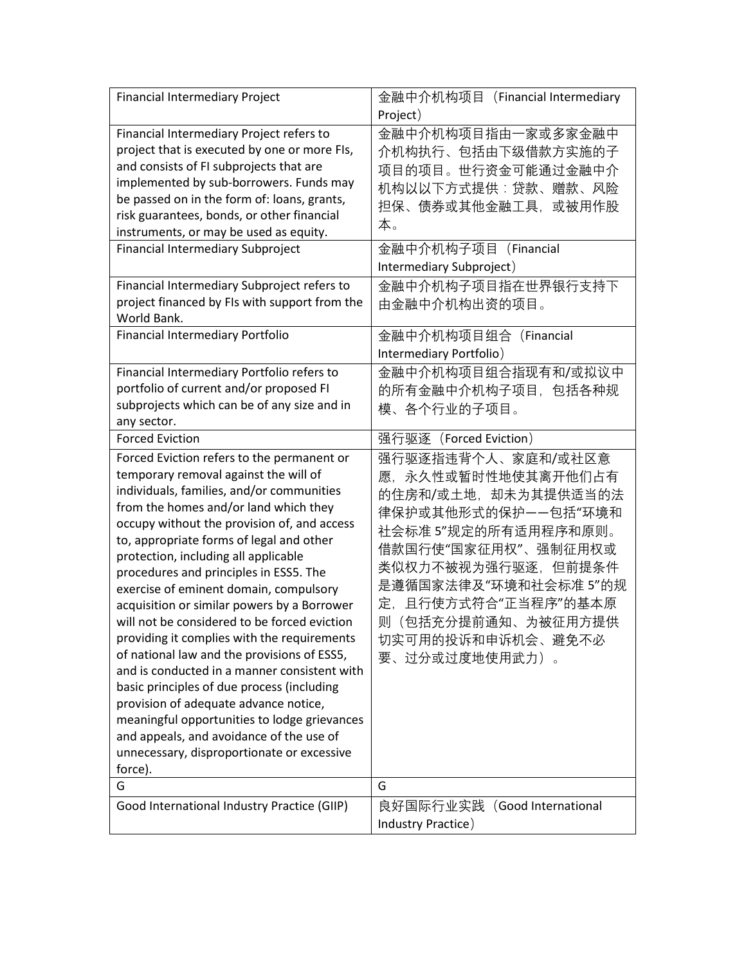| <b>Financial Intermediary Project</b>                                                                                                                                                                                                                                                                                                                                                                                                                                                                                                                                                                                                                                                                                                                                                                                                                                                     | 金融中介机构项目(Financial Intermediary                                                                                                                                                                                                                                           |
|-------------------------------------------------------------------------------------------------------------------------------------------------------------------------------------------------------------------------------------------------------------------------------------------------------------------------------------------------------------------------------------------------------------------------------------------------------------------------------------------------------------------------------------------------------------------------------------------------------------------------------------------------------------------------------------------------------------------------------------------------------------------------------------------------------------------------------------------------------------------------------------------|---------------------------------------------------------------------------------------------------------------------------------------------------------------------------------------------------------------------------------------------------------------------------|
|                                                                                                                                                                                                                                                                                                                                                                                                                                                                                                                                                                                                                                                                                                                                                                                                                                                                                           | Project)                                                                                                                                                                                                                                                                  |
| Financial Intermediary Project refers to<br>project that is executed by one or more FIs,<br>and consists of FI subprojects that are<br>implemented by sub-borrowers. Funds may<br>be passed on in the form of: loans, grants,<br>risk guarantees, bonds, or other financial<br>instruments, or may be used as equity.<br>Financial Intermediary Subproject<br>Financial Intermediary Subproject refers to<br>project financed by FIs with support from the                                                                                                                                                                                                                                                                                                                                                                                                                                | 金融中介机构项目指由一家或多家金融中<br>介机构执行、包括由下级借款方实施的子<br>项目的项目。世行资金可能通过金融中介<br>机构以以下方式提供:贷款、赠款、风险<br>担保、债券或其他金融工具,或被用作股<br>本。<br>金融中介机构子项目 (Financial<br>Intermediary Subproject)<br>金融中介机构子项目指在世界银行支持下<br>由金融中介机构出资的项目。                                                               |
| World Bank.                                                                                                                                                                                                                                                                                                                                                                                                                                                                                                                                                                                                                                                                                                                                                                                                                                                                               |                                                                                                                                                                                                                                                                           |
| Financial Intermediary Portfolio                                                                                                                                                                                                                                                                                                                                                                                                                                                                                                                                                                                                                                                                                                                                                                                                                                                          | 金融中介机构项目组合 (Financial<br>Intermediary Portfolio)                                                                                                                                                                                                                          |
| Financial Intermediary Portfolio refers to<br>portfolio of current and/or proposed FI<br>subprojects which can be of any size and in<br>any sector.                                                                                                                                                                                                                                                                                                                                                                                                                                                                                                                                                                                                                                                                                                                                       | 金融中介机构项目组合指现有和/或拟议中<br>的所有金融中介机构子项目,包括各种规<br>模、各个行业的子项目。                                                                                                                                                                                                                  |
| <b>Forced Eviction</b>                                                                                                                                                                                                                                                                                                                                                                                                                                                                                                                                                                                                                                                                                                                                                                                                                                                                    | 强行驱逐 (Forced Eviction)                                                                                                                                                                                                                                                    |
| Forced Eviction refers to the permanent or<br>temporary removal against the will of<br>individuals, families, and/or communities<br>from the homes and/or land which they<br>occupy without the provision of, and access<br>to, appropriate forms of legal and other<br>protection, including all applicable<br>procedures and principles in ESS5. The<br>exercise of eminent domain, compulsory<br>acquisition or similar powers by a Borrower<br>will not be considered to be forced eviction<br>providing it complies with the requirements<br>of national law and the provisions of ESS5,<br>and is conducted in a manner consistent with<br>basic principles of due process (including<br>provision of adequate advance notice,<br>meaningful opportunities to lodge grievances<br>and appeals, and avoidance of the use of<br>unnecessary, disproportionate or excessive<br>force). | 强行驱逐指违背个人、家庭和/或社区意<br>愿,永久性或暂时性地使其离开他们占有<br>的住房和/或土地,却未为其提供适当的法<br>律保护或其他形式的保护——包括"环境和<br>社会标准 5"规定的所有适用程序和原则。<br>借款国行使"国家征用权"、强制征用权或<br>类似权力不被视为强行驱逐,但前提条件<br>是遵循国家法律及"环境和社会标准 5"的规<br>定, 且行使方式符合"正当程序"的基本原<br>则(包括充分提前通知、为被征用方提供<br>切实可用的投诉和申诉机会、避免不必<br>要、过分或过度地使用武力)。 |
| G                                                                                                                                                                                                                                                                                                                                                                                                                                                                                                                                                                                                                                                                                                                                                                                                                                                                                         | G                                                                                                                                                                                                                                                                         |
| Good International Industry Practice (GIIP)                                                                                                                                                                                                                                                                                                                                                                                                                                                                                                                                                                                                                                                                                                                                                                                                                                               | 良好国际行业实践 (Good International                                                                                                                                                                                                                                              |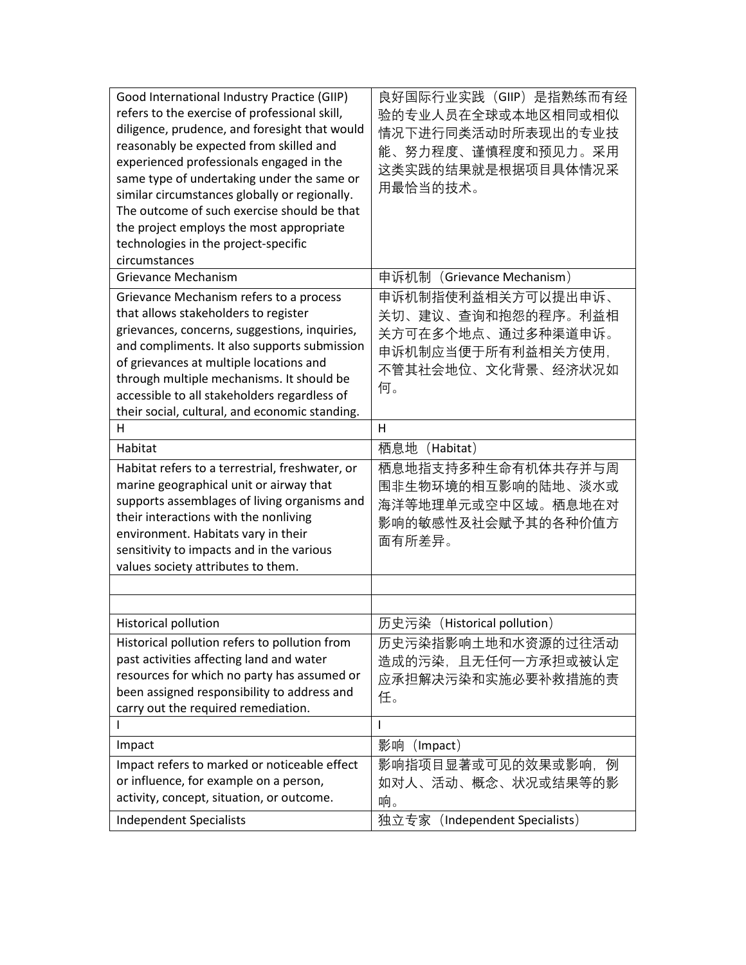| Good International Industry Practice (GIIP)<br>refers to the exercise of professional skill,<br>diligence, prudence, and foresight that would<br>reasonably be expected from skilled and<br>experienced professionals engaged in the<br>same type of undertaking under the same or<br>similar circumstances globally or regionally.<br>The outcome of such exercise should be that<br>the project employs the most appropriate<br>technologies in the project-specific<br>circumstances | 良好国际行业实践(GIIP)是指熟练而有经<br>验的专业人员在全球或本地区相同或相似<br>情况下进行同类活动时所表现出的专业技<br>能、努力程度、谨慎程度和预见力。采用<br>这类实践的结果就是根据项目具体情况采<br>用最恰当的技术。 |
|-----------------------------------------------------------------------------------------------------------------------------------------------------------------------------------------------------------------------------------------------------------------------------------------------------------------------------------------------------------------------------------------------------------------------------------------------------------------------------------------|---------------------------------------------------------------------------------------------------------------------------|
| <b>Grievance Mechanism</b>                                                                                                                                                                                                                                                                                                                                                                                                                                                              | 申诉机制(Grievance Mechanism)                                                                                                 |
| Grievance Mechanism refers to a process<br>that allows stakeholders to register<br>grievances, concerns, suggestions, inquiries,<br>and compliments. It also supports submission<br>of grievances at multiple locations and<br>through multiple mechanisms. It should be<br>accessible to all stakeholders regardless of<br>their social, cultural, and economic standing.                                                                                                              | 申诉机制指使利益相关方可以提出申诉、<br>关切、建议、查询和抱怨的程序。利益相<br>关方可在多个地点、通过多种渠道申诉。<br>申诉机制应当便于所有利益相关方使用,<br>不管其社会地位、文化背景、经济状况如<br>何。          |
| H                                                                                                                                                                                                                                                                                                                                                                                                                                                                                       | H                                                                                                                         |
| Habitat                                                                                                                                                                                                                                                                                                                                                                                                                                                                                 | 栖息地<br>(Habitat)                                                                                                          |
| Habitat refers to a terrestrial, freshwater, or<br>marine geographical unit or airway that<br>supports assemblages of living organisms and<br>their interactions with the nonliving<br>environment. Habitats vary in their<br>sensitivity to impacts and in the various<br>values society attributes to them.                                                                                                                                                                           | 栖息地指支持多种生命有机体共存并与周<br>围非生物环境的相互影响的陆地、淡水或<br>海洋等地理单元或空中区域。栖息地在对<br>影响的敏感性及社会赋予其的各种价值方<br>面有所差异。                            |
|                                                                                                                                                                                                                                                                                                                                                                                                                                                                                         |                                                                                                                           |
|                                                                                                                                                                                                                                                                                                                                                                                                                                                                                         |                                                                                                                           |
| Historical pollution                                                                                                                                                                                                                                                                                                                                                                                                                                                                    | 历史污染 (Historical pollution)                                                                                               |
| Historical pollution refers to pollution from<br>past activities affecting land and water<br>resources for which no party has assumed or<br>been assigned responsibility to address and<br>carry out the required remediation.                                                                                                                                                                                                                                                          | 历史污染指影响土地和水资源的过往活动<br>造成的污染,且无任何一方承担或被认定<br>应承担解决污染和实施必要补救措施的责<br>任。                                                      |
| I.                                                                                                                                                                                                                                                                                                                                                                                                                                                                                      | ı                                                                                                                         |
| Impact                                                                                                                                                                                                                                                                                                                                                                                                                                                                                  | 影响<br>(Impact)                                                                                                            |
| Impact refers to marked or noticeable effect<br>or influence, for example on a person,<br>activity, concept, situation, or outcome.                                                                                                                                                                                                                                                                                                                                                     | 影响指项目显著或可见的效果或影响, 例<br>如对人、活动、概念、状况或结果等的影<br>响。                                                                           |
| <b>Independent Specialists</b>                                                                                                                                                                                                                                                                                                                                                                                                                                                          | 独立专家 (Independent Specialists)                                                                                            |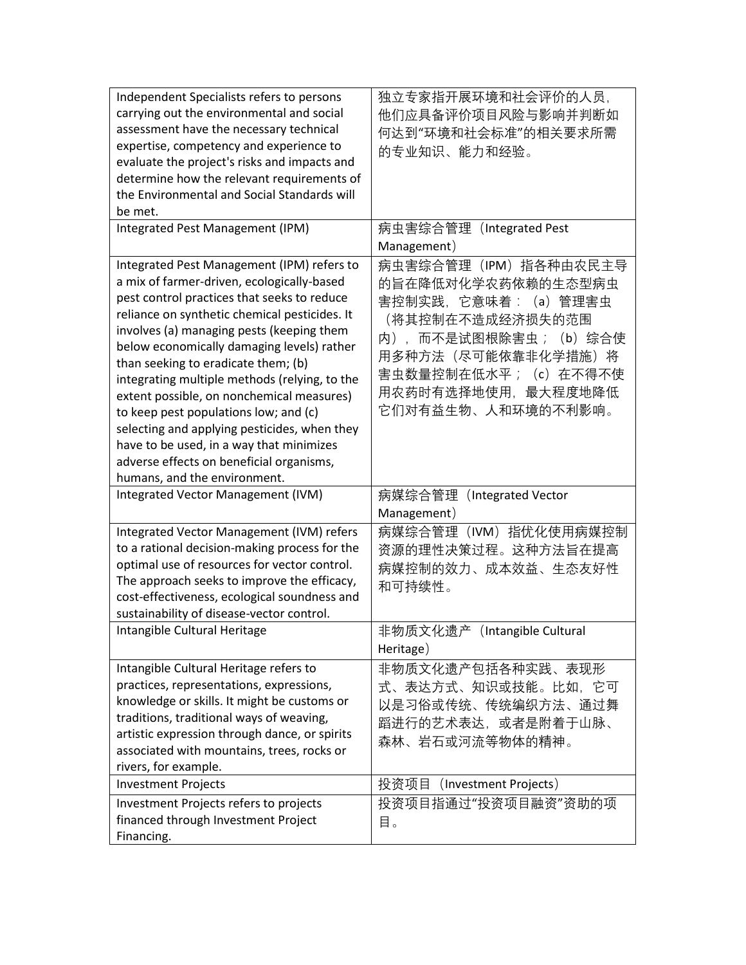| Independent Specialists refers to persons<br>carrying out the environmental and social                                                                                                                                                                                                                                                                                                                                                                                                                                                                        | 独立专家指开展环境和社会评价的人员,<br>他们应具备评价项目风险与影响并判断如                                                                                                                                                                       |
|---------------------------------------------------------------------------------------------------------------------------------------------------------------------------------------------------------------------------------------------------------------------------------------------------------------------------------------------------------------------------------------------------------------------------------------------------------------------------------------------------------------------------------------------------------------|----------------------------------------------------------------------------------------------------------------------------------------------------------------------------------------------------------------|
| assessment have the necessary technical                                                                                                                                                                                                                                                                                                                                                                                                                                                                                                                       | 何达到"环境和社会标准"的相关要求所需                                                                                                                                                                                            |
| expertise, competency and experience to                                                                                                                                                                                                                                                                                                                                                                                                                                                                                                                       | 的专业知识、能力和经验。                                                                                                                                                                                                   |
| evaluate the project's risks and impacts and                                                                                                                                                                                                                                                                                                                                                                                                                                                                                                                  |                                                                                                                                                                                                                |
| determine how the relevant requirements of                                                                                                                                                                                                                                                                                                                                                                                                                                                                                                                    |                                                                                                                                                                                                                |
| the Environmental and Social Standards will                                                                                                                                                                                                                                                                                                                                                                                                                                                                                                                   |                                                                                                                                                                                                                |
| be met.                                                                                                                                                                                                                                                                                                                                                                                                                                                                                                                                                       |                                                                                                                                                                                                                |
| Integrated Pest Management (IPM)                                                                                                                                                                                                                                                                                                                                                                                                                                                                                                                              | 病虫害综合管理(Integrated Pest                                                                                                                                                                                        |
|                                                                                                                                                                                                                                                                                                                                                                                                                                                                                                                                                               | Management)                                                                                                                                                                                                    |
| Integrated Pest Management (IPM) refers to<br>a mix of farmer-driven, ecologically-based<br>pest control practices that seeks to reduce<br>reliance on synthetic chemical pesticides. It<br>involves (a) managing pests (keeping them<br>below economically damaging levels) rather<br>than seeking to eradicate them; (b)<br>integrating multiple methods (relying, to the<br>extent possible, on nonchemical measures)<br>to keep pest populations low; and (c)<br>selecting and applying pesticides, when they<br>have to be used, in a way that minimizes | 病虫害综合管理(IPM)指各种由农民主导<br>的旨在降低对化学农药依赖的生态型病虫<br>害控制实践,它意味着:(a)管理害虫<br>(将其控制在不造成经济损失的范围<br>内), 而不是试图根除害虫;<br>(b) 综合使<br>用多种方法 (尽可能依靠非化学措施) 将<br>害虫数量控制在低水平; (c) 在不得不使<br>用农药时有选择地使用,最大程度地降低<br>它们对有益生物、人和环境的不利影响。 |
| adverse effects on beneficial organisms,                                                                                                                                                                                                                                                                                                                                                                                                                                                                                                                      |                                                                                                                                                                                                                |
| humans, and the environment.                                                                                                                                                                                                                                                                                                                                                                                                                                                                                                                                  |                                                                                                                                                                                                                |
| Integrated Vector Management (IVM)                                                                                                                                                                                                                                                                                                                                                                                                                                                                                                                            | 病媒综合管理(Integrated Vector                                                                                                                                                                                       |
|                                                                                                                                                                                                                                                                                                                                                                                                                                                                                                                                                               | Management)                                                                                                                                                                                                    |
| Integrated Vector Management (IVM) refers                                                                                                                                                                                                                                                                                                                                                                                                                                                                                                                     | 病媒综合管理 (IVM) 指优化使用病媒控制                                                                                                                                                                                         |
| to a rational decision-making process for the                                                                                                                                                                                                                                                                                                                                                                                                                                                                                                                 | 资源的理性决策过程。这种方法旨在提高                                                                                                                                                                                             |
| optimal use of resources for vector control.                                                                                                                                                                                                                                                                                                                                                                                                                                                                                                                  | 病媒控制的效力、成本效益、生态友好性                                                                                                                                                                                             |
| The approach seeks to improve the efficacy,<br>cost-effectiveness, ecological soundness and<br>sustainability of disease-vector control.                                                                                                                                                                                                                                                                                                                                                                                                                      | 和可持续性。                                                                                                                                                                                                         |
| Intangible Cultural Heritage                                                                                                                                                                                                                                                                                                                                                                                                                                                                                                                                  | 非物质文化遗产 (Intangible Cultural                                                                                                                                                                                   |
|                                                                                                                                                                                                                                                                                                                                                                                                                                                                                                                                                               | Heritage)                                                                                                                                                                                                      |
| Intangible Cultural Heritage refers to<br>practices, representations, expressions,<br>knowledge or skills. It might be customs or<br>traditions, traditional ways of weaving,<br>artistic expression through dance, or spirits<br>associated with mountains, trees, rocks or<br>rivers, for example.                                                                                                                                                                                                                                                          | 非物质文化遗产包括各种实践、表现形<br>式、表达方式、知识或技能。比如,它可<br>以是习俗或传统、传统编织方法、通过舞<br>蹈进行的艺术表达,或者是附着于山脉、<br>森林、岩石或河流等物体的精神。                                                                                                         |
| <b>Investment Projects</b>                                                                                                                                                                                                                                                                                                                                                                                                                                                                                                                                    | 投资项目<br>(Investment Projects)                                                                                                                                                                                  |
| Investment Projects refers to projects<br>financed through Investment Project<br>Financing.                                                                                                                                                                                                                                                                                                                                                                                                                                                                   | 投资项目指通过"投资项目融资"资助的项<br>目。                                                                                                                                                                                      |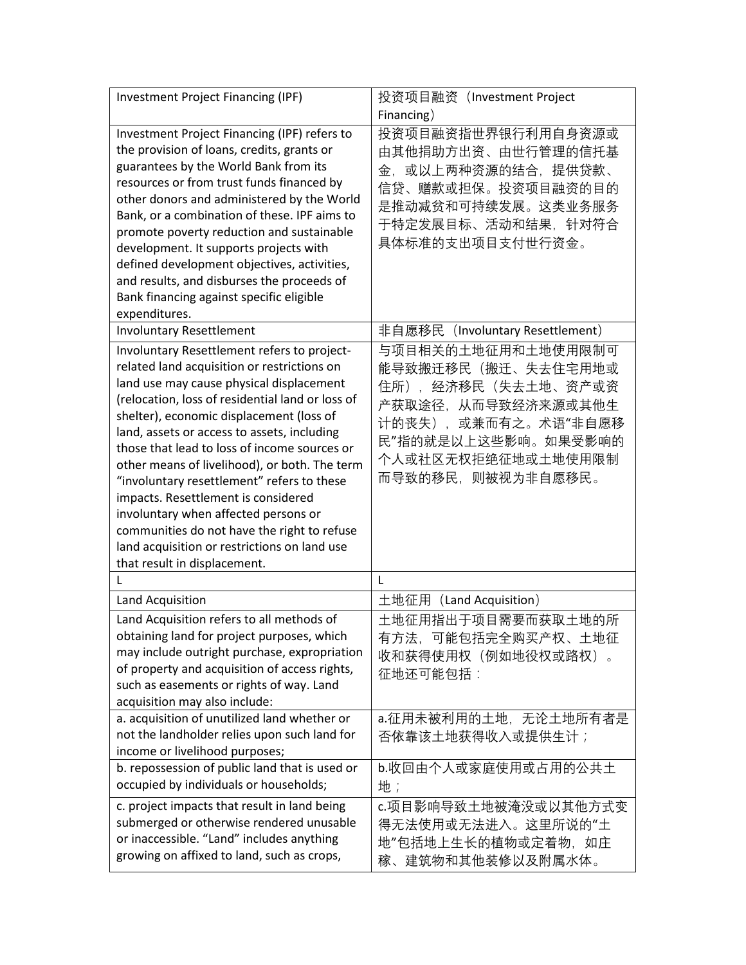| <b>Investment Project Financing (IPF)</b>                                                                                                                                                                                                                                                                                                                                                                                                                                                                                                                                                                                                          | 投资项目融资 (Investment Project                                                                                                                                                          |
|----------------------------------------------------------------------------------------------------------------------------------------------------------------------------------------------------------------------------------------------------------------------------------------------------------------------------------------------------------------------------------------------------------------------------------------------------------------------------------------------------------------------------------------------------------------------------------------------------------------------------------------------------|-------------------------------------------------------------------------------------------------------------------------------------------------------------------------------------|
|                                                                                                                                                                                                                                                                                                                                                                                                                                                                                                                                                                                                                                                    | Financing)                                                                                                                                                                          |
| Investment Project Financing (IPF) refers to<br>the provision of loans, credits, grants or<br>guarantees by the World Bank from its<br>resources or from trust funds financed by<br>other donors and administered by the World<br>Bank, or a combination of these. IPF aims to<br>promote poverty reduction and sustainable<br>development. It supports projects with<br>defined development objectives, activities,<br>and results, and disburses the proceeds of<br>Bank financing against specific eligible<br>expenditures.                                                                                                                    | 投资项目融资指世界银行利用自身资源或<br>由其他捐助方出资、由世行管理的信托基<br>或以上两种资源的结合,提供贷款、<br>金.<br>信贷、赠款或担保。投资项目融资的目的<br>是推动减贫和可持续发展。这类业务服务<br>于特定发展目标、活动和结果, 针对符合<br>具体标准的支出项目支付世行资金。                           |
| <b>Involuntary Resettlement</b>                                                                                                                                                                                                                                                                                                                                                                                                                                                                                                                                                                                                                    | 非自愿移民 (Involuntary Resettlement)                                                                                                                                                    |
| Involuntary Resettlement refers to project-<br>related land acquisition or restrictions on<br>land use may cause physical displacement<br>(relocation, loss of residential land or loss of<br>shelter), economic displacement (loss of<br>land, assets or access to assets, including<br>those that lead to loss of income sources or<br>other means of livelihood), or both. The term<br>"involuntary resettlement" refers to these<br>impacts. Resettlement is considered<br>involuntary when affected persons or<br>communities do not have the right to refuse<br>land acquisition or restrictions on land use<br>that result in displacement. | 与项目相关的土地征用和土地使用限制可<br>能导致搬迁移民(搬迁、失去住宅用地或<br>住所), 经济移民 (失去土地、资产或资<br>产获取途径,从而导致经济来源或其他生<br>或兼而有之。术语"非自愿移<br>计的丧失),<br>民"指的就是以上这些影响。如果受影响的<br>个人或社区无权拒绝征地或土地使用限制<br>而导致的移民,则被视为非自愿移民。 |
| L                                                                                                                                                                                                                                                                                                                                                                                                                                                                                                                                                                                                                                                  | L                                                                                                                                                                                   |
| Land Acquisition                                                                                                                                                                                                                                                                                                                                                                                                                                                                                                                                                                                                                                   | 土地征用 (Land Acquisition)                                                                                                                                                             |
| Land Acquisition refers to all methods of<br>obtaining land for project purposes, which<br>may include outright purchase, expropriation<br>of property and acquisition of access rights,<br>such as easements or rights of way. Land<br>acquisition may also include:                                                                                                                                                                                                                                                                                                                                                                              | 土地征用指出于项目需要而获取土地的所<br>有方法,可能包括完全购买产权、土地征<br>收和获得使用权(例如地役权或路权)。<br>征地还可能包括:                                                                                                          |
| a. acquisition of unutilized land whether or<br>not the landholder relies upon such land for<br>income or livelihood purposes;                                                                                                                                                                                                                                                                                                                                                                                                                                                                                                                     | a.征用未被利用的土地,无论土地所有者是<br>否依靠该土地获得收入或提供生计;                                                                                                                                            |
| b. repossession of public land that is used or<br>occupied by individuals or households;                                                                                                                                                                                                                                                                                                                                                                                                                                                                                                                                                           | b.收回由个人或家庭使用或占用的公共土<br>地;                                                                                                                                                           |
| c. project impacts that result in land being<br>submerged or otherwise rendered unusable<br>or inaccessible. "Land" includes anything<br>growing on affixed to land, such as crops,                                                                                                                                                                                                                                                                                                                                                                                                                                                                | c.项目影响导致土地被淹没或以其他方式变<br>得无法使用或无法进入。这里所说的"土<br>地"包括地上生长的植物或定着物, 如庄<br>稼、建筑物和其他装修以及附属水体。                                                                                              |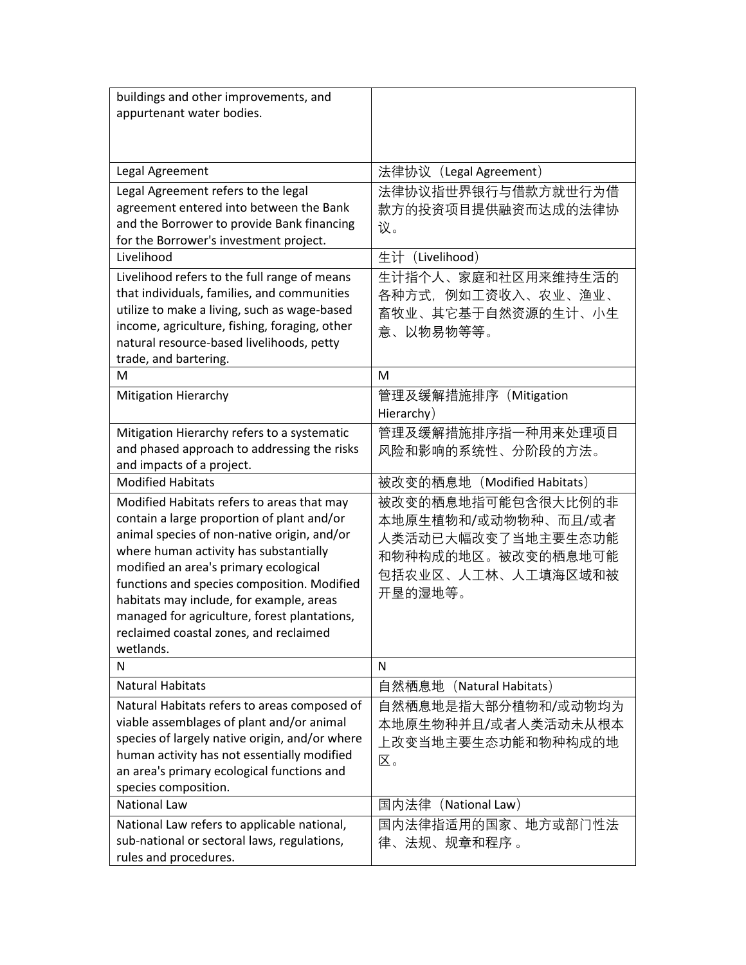| buildings and other improvements, and<br>appurtenant water bodies.                            |                                     |
|-----------------------------------------------------------------------------------------------|-------------------------------------|
|                                                                                               |                                     |
|                                                                                               |                                     |
| Legal Agreement                                                                               | 法律协议(Legal Agreement)               |
| Legal Agreement refers to the legal                                                           | 法律协议指世界银行与借款方就世行为借                  |
| agreement entered into between the Bank                                                       | 款方的投资项目提供融资而达成的法律协                  |
| and the Borrower to provide Bank financing<br>for the Borrower's investment project.          | 议。                                  |
| Livelihood                                                                                    | 生计 (Livelihood)                     |
| Livelihood refers to the full range of means                                                  | 生计指个人、家庭和社区用来维持生活的                  |
| that individuals, families, and communities                                                   | 各种方式,例如工资收入、农业、渔业、                  |
| utilize to make a living, such as wage-based                                                  | 畜牧业、其它基于自然资源的生计、小生                  |
| income, agriculture, fishing, foraging, other                                                 | 意、以物易物等等。                           |
| natural resource-based livelihoods, petty                                                     |                                     |
| trade, and bartering.                                                                         | M                                   |
| M                                                                                             |                                     |
| <b>Mitigation Hierarchy</b>                                                                   | 管理及缓解措施排序 (Mitigation<br>Hierarchy) |
| Mitigation Hierarchy refers to a systematic                                                   | 管理及缓解措施排序指一种用来处理项目                  |
| and phased approach to addressing the risks                                                   | 风险和影响的系统性、分阶段的方法。                   |
| and impacts of a project.                                                                     |                                     |
| <b>Modified Habitats</b>                                                                      | 被改变的栖息地 (Modified Habitats)         |
| Modified Habitats refers to areas that may                                                    | 被改变的栖息地指可能包含很大比例的非                  |
| contain a large proportion of plant and/or                                                    | 本地原生植物和/或动物物种、而且/或者                 |
| animal species of non-native origin, and/or                                                   | 人类活动已大幅改变了当地主要生态功能                  |
| where human activity has substantially                                                        | 和物种构成的地区。被改变的栖息地可能                  |
| modified an area's primary ecological<br>functions and species composition. Modified          | 包括农业区、人工林、人工填海区域和被                  |
| habitats may include, for example, areas                                                      | 开垦的湿地等。                             |
| managed for agriculture, forest plantations,                                                  |                                     |
| reclaimed coastal zones, and reclaimed                                                        |                                     |
| wetlands.                                                                                     |                                     |
| N                                                                                             | N                                   |
| <b>Natural Habitats</b>                                                                       | 自然栖息地 (Natural Habitats)            |
| Natural Habitats refers to areas composed of                                                  | 自然栖息地是指大部分植物和/或动物均为                 |
| viable assemblages of plant and/or animal                                                     | 本地原生物种并且/或者人类活动未从根本                 |
| species of largely native origin, and/or where<br>human activity has not essentially modified | 上改变当地主要生态功能和物种构成的地                  |
| an area's primary ecological functions and                                                    | 区。                                  |
| species composition.                                                                          |                                     |
| <b>National Law</b>                                                                           | 国内法律(National Law)                  |
| National Law refers to applicable national,                                                   | 国内法律指适用的国家、地方或部门性法                  |
| sub-national or sectoral laws, regulations,                                                   | 律、法规、规章和程序 。                        |
| rules and procedures.                                                                         |                                     |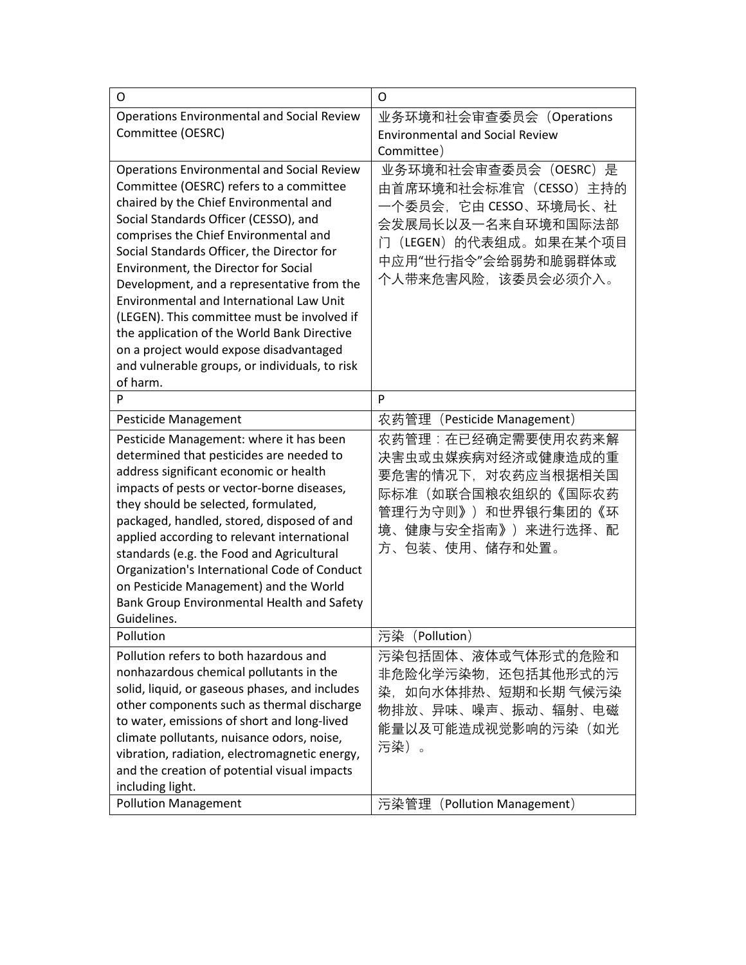| O                                                                                                                                                                                                                                                                                                                                                                                                                                                                                                                                                                                                               | O                                                                                                                                                                  |
|-----------------------------------------------------------------------------------------------------------------------------------------------------------------------------------------------------------------------------------------------------------------------------------------------------------------------------------------------------------------------------------------------------------------------------------------------------------------------------------------------------------------------------------------------------------------------------------------------------------------|--------------------------------------------------------------------------------------------------------------------------------------------------------------------|
| <b>Operations Environmental and Social Review</b><br>Committee (OESRC)                                                                                                                                                                                                                                                                                                                                                                                                                                                                                                                                          | 业务环境和社会审查委员会(Operations<br><b>Environmental and Social Review</b>                                                                                                  |
|                                                                                                                                                                                                                                                                                                                                                                                                                                                                                                                                                                                                                 | Committee)                                                                                                                                                         |
| <b>Operations Environmental and Social Review</b><br>Committee (OESRC) refers to a committee<br>chaired by the Chief Environmental and<br>Social Standards Officer (CESSO), and<br>comprises the Chief Environmental and<br>Social Standards Officer, the Director for<br>Environment, the Director for Social<br>Development, and a representative from the<br>Environmental and International Law Unit<br>(LEGEN). This committee must be involved if<br>the application of the World Bank Directive<br>on a project would expose disadvantaged<br>and vulnerable groups, or individuals, to risk<br>of harm. | 业务环境和社会审查委员会(OESRC)是<br>由首席环境和社会标准官(CESSO)主持的<br>一个委员会,它由 CESSO、环境局长、社<br>会发展局长以及一名来自环境和国际法部<br>门(LEGEN)的代表组成。如果在某个项目<br>中应用"世行指令"会给弱势和脆弱群体或<br>个人带来危害风险,该委员会必须介入。 |
| P                                                                                                                                                                                                                                                                                                                                                                                                                                                                                                                                                                                                               | P                                                                                                                                                                  |
| Pesticide Management                                                                                                                                                                                                                                                                                                                                                                                                                                                                                                                                                                                            | 农药管理(Pesticide Management)                                                                                                                                         |
| Pesticide Management: where it has been<br>determined that pesticides are needed to<br>address significant economic or health<br>impacts of pests or vector-borne diseases,<br>they should be selected, formulated,<br>packaged, handled, stored, disposed of and<br>applied according to relevant international<br>standards (e.g. the Food and Agricultural<br>Organization's International Code of Conduct<br>on Pesticide Management) and the World<br>Bank Group Environmental Health and Safety<br>Guidelines.                                                                                            | 农药管理:在已经确定需要使用农药来解<br>决害虫或虫媒疾病对经济或健康造成的重<br>要危害的情况下,对农药应当根据相关国<br>际标准(如联合国粮农组织的《国际农药<br>管理行为守则》)和世界银行集团的《环<br>境、健康与安全指南》)来进行选择、配<br>方、包装、使用、储存和处置。                 |
| Pollution                                                                                                                                                                                                                                                                                                                                                                                                                                                                                                                                                                                                       | 污染 (Pollution)                                                                                                                                                     |
| Pollution refers to both hazardous and<br>nonhazardous chemical pollutants in the<br>solid, liquid, or gaseous phases, and includes<br>other components such as thermal discharge<br>to water, emissions of short and long-lived<br>climate pollutants, nuisance odors, noise,<br>vibration, radiation, electromagnetic energy,<br>and the creation of potential visual impacts<br>including light.                                                                                                                                                                                                             | 污染包括固体、液体或气体形式的危险和<br>非危险化学污染物,还包括其他形式的污<br>染,如向水体排热、短期和长期 气候污染<br>物排放、异味、噪声、振动、辐射、电磁<br>能量以及可能造成视觉影响的污染(如光<br>污染)。                                                |
| <b>Pollution Management</b>                                                                                                                                                                                                                                                                                                                                                                                                                                                                                                                                                                                     | 污染管理 (Pollution Management)                                                                                                                                        |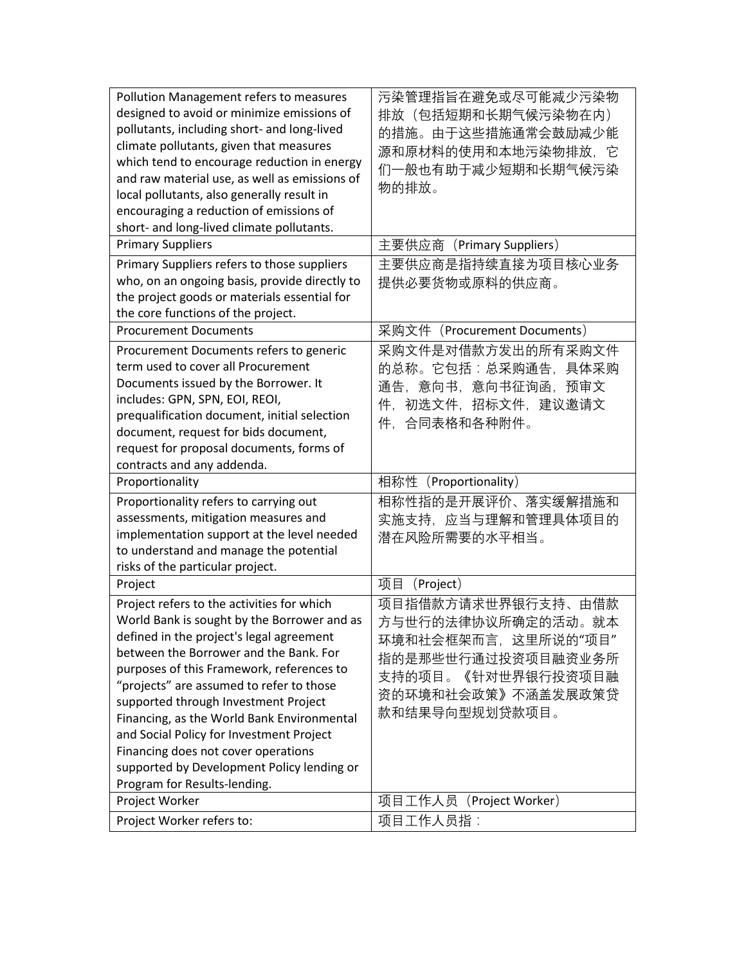| Pollution Management refers to measures       | 污染管理指旨在避免或尽可能减少污染物                  |
|-----------------------------------------------|-------------------------------------|
| designed to avoid or minimize emissions of    | 排放(包括短期和长期气候污染物在内)                  |
| pollutants, including short- and long-lived   | 的措施。由于这些措施通常会鼓励减少能                  |
| climate pollutants, given that measures       | 源和原材料的使用和本地污染物排放,它                  |
| which tend to encourage reduction in energy   | 们一般也有助于减少短期和长期气候污染                  |
| and raw material use, as well as emissions of |                                     |
| local pollutants, also generally result in    | 物的排放。                               |
| encouraging a reduction of emissions of       |                                     |
| short- and long-lived climate pollutants.     |                                     |
| <b>Primary Suppliers</b>                      | 主要供应商 (Primary Suppliers)           |
| Primary Suppliers refers to those suppliers   | 主要供应商是指持续直接为项目核心业务                  |
| who, on an ongoing basis, provide directly to | 提供必要货物或原料的供应商。                      |
| the project goods or materials essential for  |                                     |
| the core functions of the project.            |                                     |
| <b>Procurement Documents</b>                  | 采购文件 (Procurement Documents)        |
| Procurement Documents refers to generic       | 采购文件是对借款方发出的所有采购文件                  |
| term used to cover all Procurement            | 的总称。它包括:总采购通告,具体采购                  |
| Documents issued by the Borrower. It          | 通告,意向书,意向书征询函,预审文                   |
| includes: GPN, SPN, EOI, REOI,                | 件,初选文件,招标文件,建议邀请文                   |
| prequalification document, initial selection  | 件,合同表格和各种附件。                        |
| document, request for bids document,          |                                     |
| request for proposal documents, forms of      |                                     |
|                                               |                                     |
| contracts and any addenda.                    |                                     |
| Proportionality                               | 相称性 (Proportionality)               |
| Proportionality refers to carrying out        | 相称性指的是开展评价、落实缓解措施和                  |
| assessments, mitigation measures and          | 实施支持,应当与理解和管理具体项目的                  |
| implementation support at the level needed    |                                     |
| to understand and manage the potential        | 潜在风险所需要的水平相当。                       |
| risks of the particular project.              |                                     |
| Project                                       | 项目<br>(Project)                     |
| Project refers to the activities for which    | 项目指借款方请求世界银行支持、由借款                  |
| World Bank is sought by the Borrower and as   | 方与世行的法律协议所确定的活动。就本                  |
| defined in the project's legal agreement      |                                     |
| between the Borrower and the Bank. For        | 环境和社会框架而言, 这里所说的"项目"                |
| purposes of this Framework, references to     | 指的是那些世行通过投资项目融资业务所                  |
| "projects" are assumed to refer to those      | 支持的项目。《针对世界银行投资项目融                  |
| supported through Investment Project          | 资的环境和社会政策》不涵盖发展政策贷                  |
| Financing, as the World Bank Environmental    | 款和结果导向型规划贷款项目。                      |
| and Social Policy for Investment Project      |                                     |
| Financing does not cover operations           |                                     |
| supported by Development Policy lending or    |                                     |
| Program for Results-lending.                  |                                     |
| Project Worker                                | 项目工作人员 (Project Worker)<br>项目工作人员指: |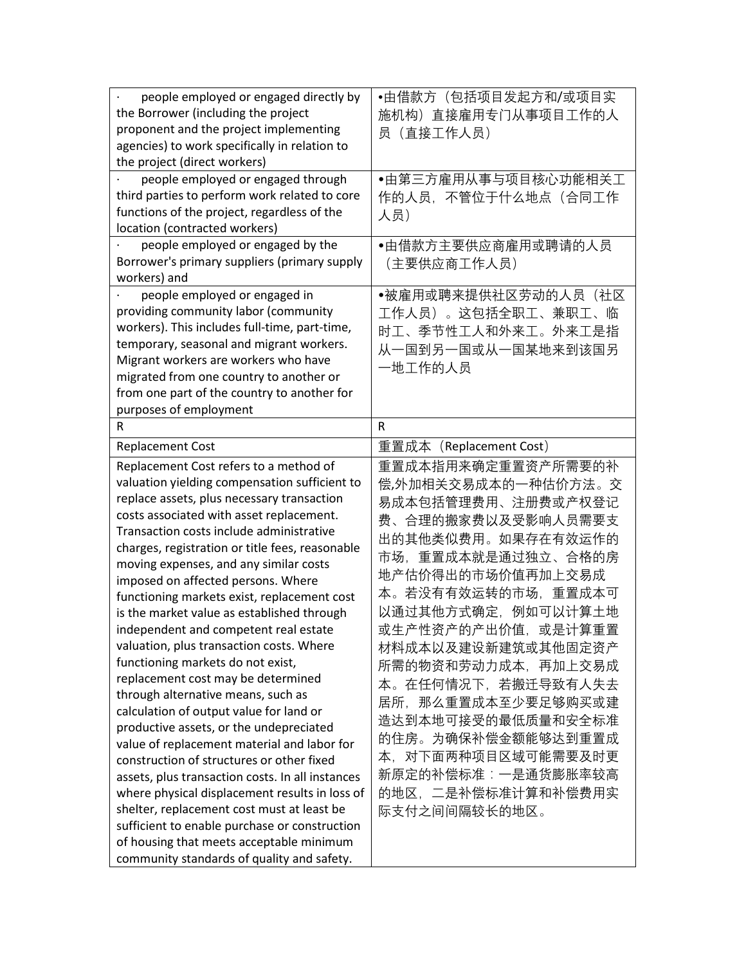| people employed or engaged directly by           | •由借款方(包括项目发起方和/或项目实     |
|--------------------------------------------------|-------------------------|
| the Borrower (including the project              | 施机构) 直接雇用专门从事项目工作的人     |
| proponent and the project implementing           | 员 (直接工作人员)              |
| agencies) to work specifically in relation to    |                         |
| the project (direct workers)                     |                         |
| people employed or engaged through               | ●由第三方雇用从事与项目核心功能相关工     |
| third parties to perform work related to core    | 作的人员,不管位于什么地点(合同工作      |
| functions of the project, regardless of the      | 人员)                     |
| location (contracted workers)                    |                         |
| people employed or engaged by the                | ●由借款方主要供应商雇用或聘请的人员      |
| Borrower's primary suppliers (primary supply     | (主要供应商工作人员)             |
| workers) and                                     |                         |
| people employed or engaged in                    | ●被雇用或聘来提供社区劳动的人员(社区     |
| providing community labor (community             | 工作人员)。这包括全职工、兼职工、临      |
| workers). This includes full-time, part-time,    |                         |
| temporary, seasonal and migrant workers.         | 时工、季节性工人和外来工。外来工是指      |
| Migrant workers are workers who have             | 从一国到另一国或从一国某地来到该国另      |
| migrated from one country to another or          | 一地工作的人员                 |
| from one part of the country to another for      |                         |
| purposes of employment                           |                         |
| R                                                | $\mathsf{R}$            |
|                                                  |                         |
| <b>Replacement Cost</b>                          | 重置成本 (Replacement Cost) |
| Replacement Cost refers to a method of           | 重置成本指用来确定重置资产所需要的补      |
| valuation yielding compensation sufficient to    | 偿,外加相关交易成本的一种估价方法。交     |
| replace assets, plus necessary transaction       | 易成本包括管理费用、注册费或产权登记      |
| costs associated with asset replacement.         | 费、合理的搬家费以及受影响人员需要支      |
| Transaction costs include administrative         | 出的其他类似费用。如果存在有效运作的      |
| charges, registration or title fees, reasonable  | 市场,重置成本就是通过独立、合格的房      |
| moving expenses, and any similar costs           |                         |
| imposed on affected persons. Where               | 地产估价得出的市场价值再加上交易成       |
| functioning markets exist, replacement cost      | 本。若没有有效运转的市场,重置成本可      |
| is the market value as established through       | 以通过其他方式确定,例如可以计算土地      |
| independent and competent real estate            | 或生产性资产的产出价值,或是计算重置      |
| valuation, plus transaction costs. Where         | 材料成本以及建设新建筑或其他固定资产      |
| functioning markets do not exist,                | 所需的物资和劳动力成本,再加上交易成      |
| replacement cost may be determined               | 本。在任何情况下,若搬迁导致有人失去      |
| through alternative means, such as               | 居所,那么重置成本至少要足够购买或建      |
| calculation of output value for land or          |                         |
| productive assets, or the undepreciated          | 造达到本地可接受的最低质量和安全标准      |
| value of replacement material and labor for      | 的住房。为确保补偿金额能够达到重置成      |
| construction of structures or other fixed        | 本,对下面两种项目区域可能需要及时更      |
| assets, plus transaction costs. In all instances | 新原定的补偿标准:一是通货膨胀率较高      |
| where physical displacement results in loss of   | 的地区, 二是补偿标准计算和补偿费用实     |
| shelter, replacement cost must at least be       |                         |
|                                                  | 际支付之间间隔较长的地区。           |
| sufficient to enable purchase or construction    |                         |
| of housing that meets acceptable minimum         |                         |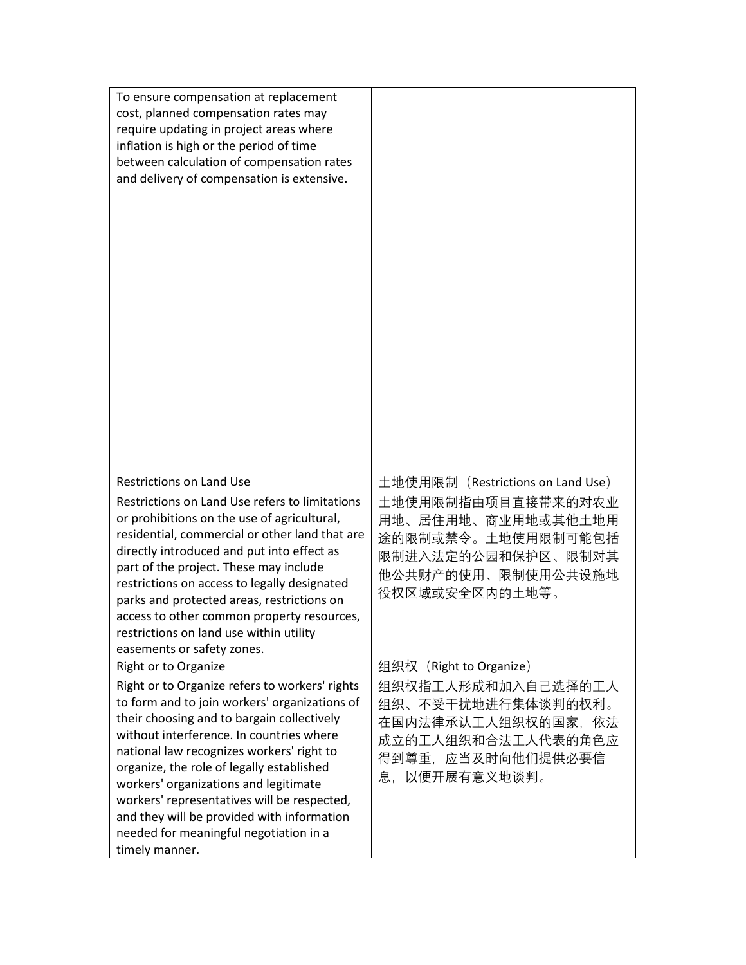| To ensure compensation at replacement<br>cost, planned compensation rates may<br>require updating in project areas where<br>inflation is high or the period of time<br>between calculation of compensation rates<br>and delivery of compensation is extensive.                                                                                                                                                                                                                        |                                                                                                                              |
|---------------------------------------------------------------------------------------------------------------------------------------------------------------------------------------------------------------------------------------------------------------------------------------------------------------------------------------------------------------------------------------------------------------------------------------------------------------------------------------|------------------------------------------------------------------------------------------------------------------------------|
| <b>Restrictions on Land Use</b>                                                                                                                                                                                                                                                                                                                                                                                                                                                       | 土地使用限制(Restrictions on Land Use)                                                                                             |
| Restrictions on Land Use refers to limitations<br>or prohibitions on the use of agricultural,<br>residential, commercial or other land that are<br>directly introduced and put into effect as<br>part of the project. These may include<br>restrictions on access to legally designated<br>parks and protected areas, restrictions on<br>access to other common property resources,<br>restrictions on land use within utility<br>easements or safety zones.                          | 土地使用限制指由项目直接带来的对农业<br>用地、居住用地、商业用地或其他土地用<br>途的限制或禁令。土地使用限制可能包括<br>限制进入法定的公园和保护区、限制对其<br>他公共财产的使用、限制使用公共设施地<br>役权区域或安全区内的土地等。 |
| Right or to Organize                                                                                                                                                                                                                                                                                                                                                                                                                                                                  | 组织权<br>(Right to Organize)                                                                                                   |
| Right or to Organize refers to workers' rights<br>to form and to join workers' organizations of<br>their choosing and to bargain collectively<br>without interference. In countries where<br>national law recognizes workers' right to<br>organize, the role of legally established<br>workers' organizations and legitimate<br>workers' representatives will be respected,<br>and they will be provided with information<br>needed for meaningful negotiation in a<br>timely manner. | 组织权指工人形成和加入自己选择的工人<br>组织、不受干扰地进行集体谈判的权利。<br>在国内法律承认工人组织权的国家,依法<br>成立的工人组织和合法工人代表的角色应<br>得到尊重,应当及时向他们提供必要信<br>息,以便开展有意义地谈判。   |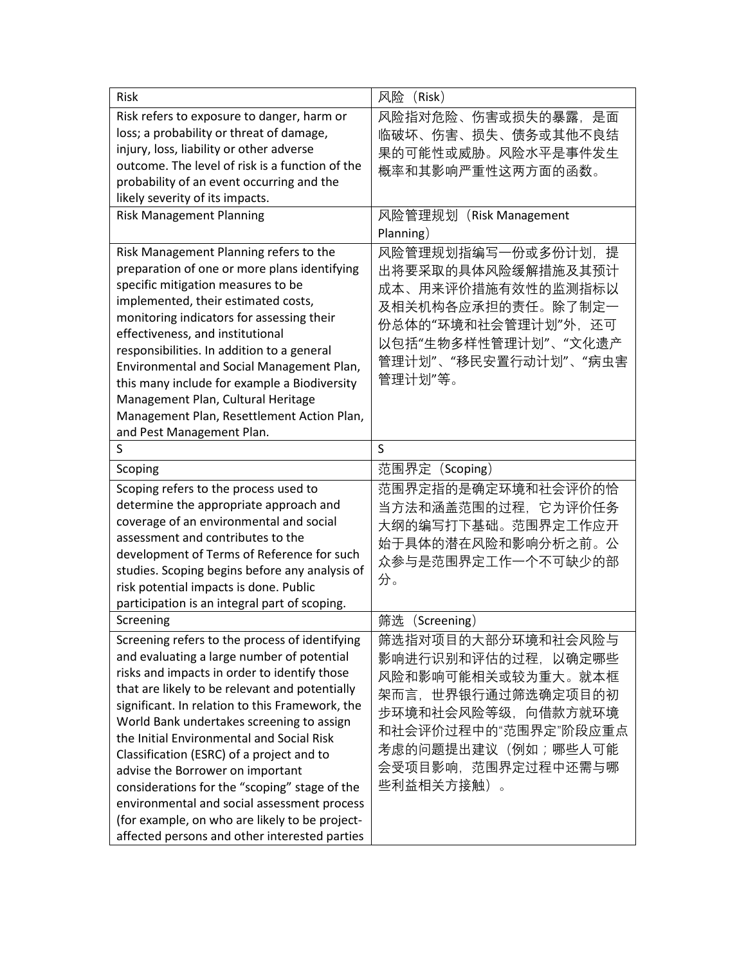| <b>Risk</b>                                                                                                                                                                                                                                                                                                                                                                                                                                                                                                                                                                                                                     | 风险<br>(Risk)                                                                                                                                                                                 |
|---------------------------------------------------------------------------------------------------------------------------------------------------------------------------------------------------------------------------------------------------------------------------------------------------------------------------------------------------------------------------------------------------------------------------------------------------------------------------------------------------------------------------------------------------------------------------------------------------------------------------------|----------------------------------------------------------------------------------------------------------------------------------------------------------------------------------------------|
| Risk refers to exposure to danger, harm or                                                                                                                                                                                                                                                                                                                                                                                                                                                                                                                                                                                      | 风险指对危险、伤害或损失的暴露,是面                                                                                                                                                                           |
| loss; a probability or threat of damage,<br>injury, loss, liability or other adverse                                                                                                                                                                                                                                                                                                                                                                                                                                                                                                                                            | 临破坏、伤害、损失、债务或其他不良结                                                                                                                                                                           |
| outcome. The level of risk is a function of the                                                                                                                                                                                                                                                                                                                                                                                                                                                                                                                                                                                 | 果的可能性或威胁。风险水平是事件发生                                                                                                                                                                           |
| probability of an event occurring and the                                                                                                                                                                                                                                                                                                                                                                                                                                                                                                                                                                                       | 概率和其影响严重性这两方面的函数。                                                                                                                                                                            |
| likely severity of its impacts.                                                                                                                                                                                                                                                                                                                                                                                                                                                                                                                                                                                                 |                                                                                                                                                                                              |
| <b>Risk Management Planning</b>                                                                                                                                                                                                                                                                                                                                                                                                                                                                                                                                                                                                 | 风险管理规划 (Risk Management                                                                                                                                                                      |
|                                                                                                                                                                                                                                                                                                                                                                                                                                                                                                                                                                                                                                 | Planning)                                                                                                                                                                                    |
| Risk Management Planning refers to the<br>preparation of one or more plans identifying<br>specific mitigation measures to be<br>implemented, their estimated costs,<br>monitoring indicators for assessing their<br>effectiveness, and institutional<br>responsibilities. In addition to a general<br>Environmental and Social Management Plan,<br>this many include for example a Biodiversity<br>Management Plan, Cultural Heritage<br>Management Plan, Resettlement Action Plan,<br>and Pest Management Plan.                                                                                                                | 风险管理规划指编写一份或多份计划, 提<br>出将要采取的具体风险缓解措施及其预计<br>成本、用来评价措施有效性的监测指标以<br>及相关机构各应承担的责任。除了制定一<br>份总体的"环境和社会管理计划"外,还可<br>以包括"生物多样性管理计划"、"文化遗产<br>管理计划"、"移民安置行动计划"、"病虫害<br>管理计划"等。                     |
| S                                                                                                                                                                                                                                                                                                                                                                                                                                                                                                                                                                                                                               | S                                                                                                                                                                                            |
| Scoping                                                                                                                                                                                                                                                                                                                                                                                                                                                                                                                                                                                                                         | 范围界定<br>(Scoping)                                                                                                                                                                            |
| Scoping refers to the process used to<br>determine the appropriate approach and<br>coverage of an environmental and social<br>assessment and contributes to the<br>development of Terms of Reference for such<br>studies. Scoping begins before any analysis of<br>risk potential impacts is done. Public<br>participation is an integral part of scoping.                                                                                                                                                                                                                                                                      | 范围界定指的是确定环境和社会评价的恰<br>当方法和涵盖范围的过程,它为评价任务<br>大纲的编写打下基础。范围界定工作应开<br>始于具体的潜在风险和影响分析之前。公<br>众参与是范围界定工作一个不可缺少的部<br>分。                                                                             |
| Screening                                                                                                                                                                                                                                                                                                                                                                                                                                                                                                                                                                                                                       | 筛选<br>(Screening)                                                                                                                                                                            |
| Screening refers to the process of identifying<br>and evaluating a large number of potential<br>risks and impacts in order to identify those<br>that are likely to be relevant and potentially<br>significant. In relation to this Framework, the<br>World Bank undertakes screening to assign<br>the Initial Environmental and Social Risk<br>Classification (ESRC) of a project and to<br>advise the Borrower on important<br>considerations for the "scoping" stage of the<br>environmental and social assessment process<br>(for example, on who are likely to be project-<br>affected persons and other interested parties | 筛选指对项目的大部分环境和社会风险与<br>影响进行识别和评估的过程,以确定哪些<br>风险和影响可能相关或较为重大。就本框<br>架而言,世界银行通过筛选确定项目的初<br>步环境和社会风险等级,向借款方就环境<br>和社会评价过程中的"范围界定"阶段应重点<br>考虑的问题提出建议(例如;哪些人可能<br>会受项目影响,范围界定过程中还需与哪<br>些利益相关方接触)。 |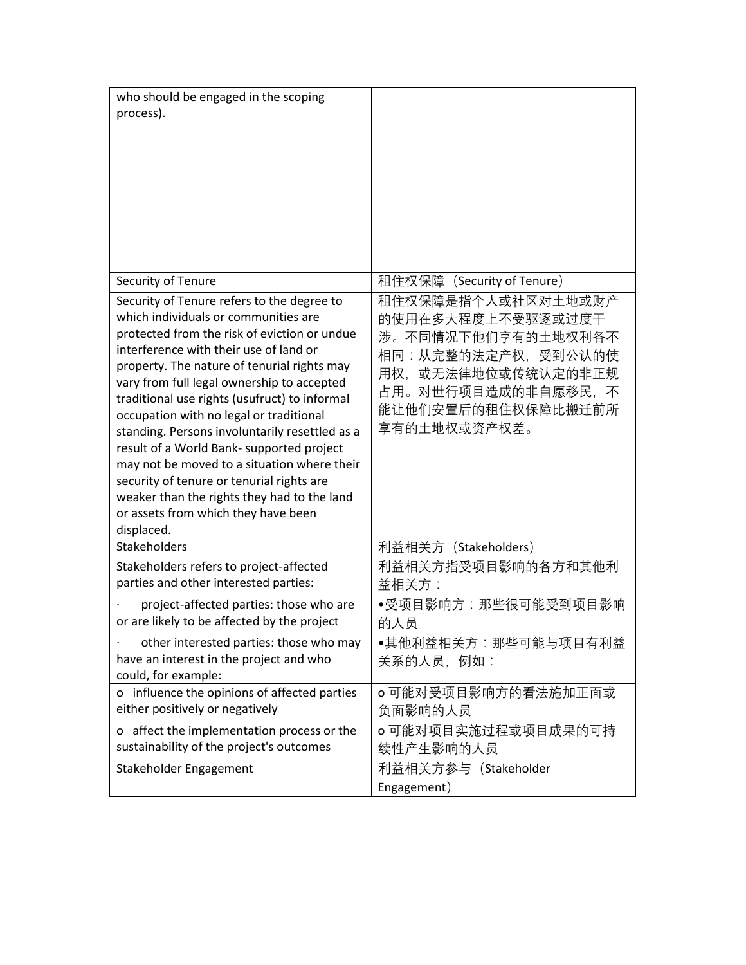| who should be engaged in the scoping<br>process).                                                                                                                                                                                                                                                                                                                                                                                                                                                                                                                                                                                                                    |                                                                                                                                                                           |
|----------------------------------------------------------------------------------------------------------------------------------------------------------------------------------------------------------------------------------------------------------------------------------------------------------------------------------------------------------------------------------------------------------------------------------------------------------------------------------------------------------------------------------------------------------------------------------------------------------------------------------------------------------------------|---------------------------------------------------------------------------------------------------------------------------------------------------------------------------|
| Security of Tenure                                                                                                                                                                                                                                                                                                                                                                                                                                                                                                                                                                                                                                                   | 租住权保障(Security of Tenure)                                                                                                                                                 |
| Security of Tenure refers to the degree to<br>which individuals or communities are<br>protected from the risk of eviction or undue<br>interference with their use of land or<br>property. The nature of tenurial rights may<br>vary from full legal ownership to accepted<br>traditional use rights (usufruct) to informal<br>occupation with no legal or traditional<br>standing. Persons involuntarily resettled as a<br>result of a World Bank- supported project<br>may not be moved to a situation where their<br>security of tenure or tenurial rights are<br>weaker than the rights they had to the land<br>or assets from which they have been<br>displaced. | 租住权保障是指个人或社区对土地或财产<br>的使用在多大程度上不受驱逐或过度干<br>涉。不同情况下他们享有的土地权利各不<br>相同:从完整的法定产权,受到公认的使<br>或无法律地位或传统认定的非正规<br>用权.<br>占用。对世行项目造成的非自愿移民,不<br>能让他们安置后的租住权保障比搬迁前所<br>享有的土地权或资产权差。 |
| <b>Stakeholders</b>                                                                                                                                                                                                                                                                                                                                                                                                                                                                                                                                                                                                                                                  | 利益相关方 (Stakeholders)                                                                                                                                                      |
| Stakeholders refers to project-affected<br>parties and other interested parties:                                                                                                                                                                                                                                                                                                                                                                                                                                                                                                                                                                                     | 利益相关方指受项目影响的各方和其他利<br>益相关方:                                                                                                                                               |
| project-affected parties: those who are<br>or are likely to be affected by the project                                                                                                                                                                                                                                                                                                                                                                                                                                                                                                                                                                               | ●受项目影响方:那些很可能受到项目影响<br>的人员                                                                                                                                                |
| other interested parties: those who may<br>have an interest in the project and who<br>could, for example:                                                                                                                                                                                                                                                                                                                                                                                                                                                                                                                                                            | ●其他利益相关方:那些可能与项目有利益<br>关系的人员, 例如:                                                                                                                                         |
| o influence the opinions of affected parties<br>either positively or negatively                                                                                                                                                                                                                                                                                                                                                                                                                                                                                                                                                                                      | o可能对受项目影响方的看法施加正面或<br>负面影响的人员                                                                                                                                             |
| o affect the implementation process or the<br>sustainability of the project's outcomes                                                                                                                                                                                                                                                                                                                                                                                                                                                                                                                                                                               | o可能对项目实施过程或项目成果的可持<br>续性产生影响的人员                                                                                                                                           |
| Stakeholder Engagement                                                                                                                                                                                                                                                                                                                                                                                                                                                                                                                                                                                                                                               | 利益相关方参与 (Stakeholder<br>Engagement)                                                                                                                                       |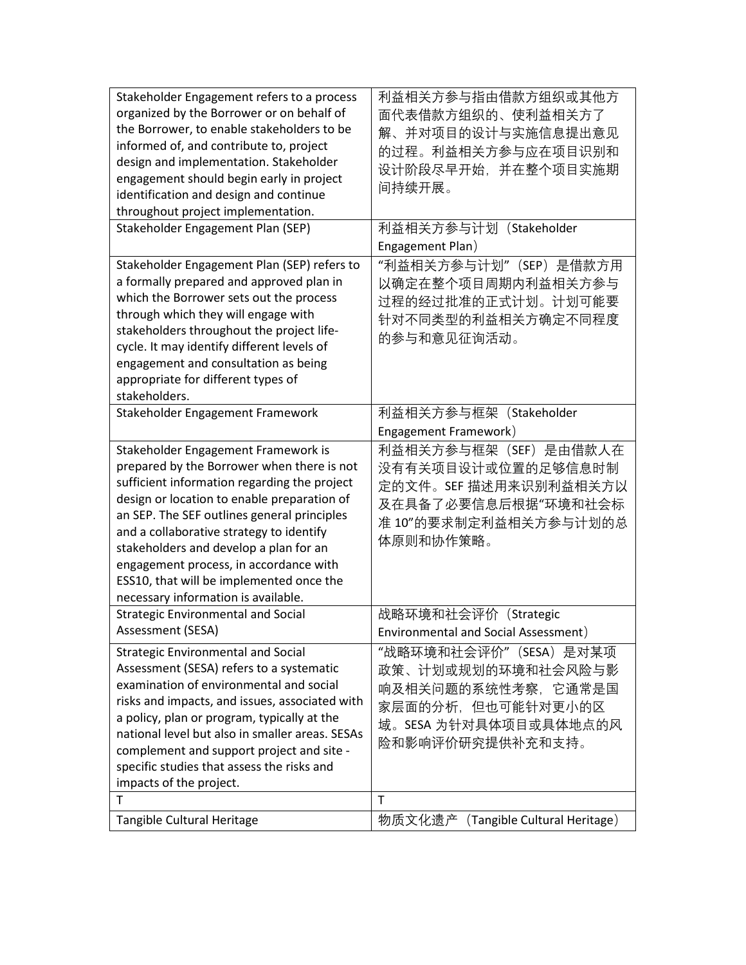| Stakeholder Engagement refers to a process<br>organized by the Borrower or on behalf of<br>the Borrower, to enable stakeholders to be<br>informed of, and contribute to, project<br>design and implementation. Stakeholder<br>engagement should begin early in project<br>identification and design and continue<br>throughout project implementation.                                                                                             | 利益相关方参与指由借款方组织或其他方<br>面代表借款方组织的、使利益相关方了<br>解、并对项目的设计与实施信息提出意见<br>的过程。利益相关方参与应在项目识别和<br>设计阶段尽早开始,并在整个项目实施期<br>间持续开展。                 |
|----------------------------------------------------------------------------------------------------------------------------------------------------------------------------------------------------------------------------------------------------------------------------------------------------------------------------------------------------------------------------------------------------------------------------------------------------|-------------------------------------------------------------------------------------------------------------------------------------|
| Stakeholder Engagement Plan (SEP)                                                                                                                                                                                                                                                                                                                                                                                                                  | 利益相关方参与计划 (Stakeholder<br>Engagement Plan)                                                                                          |
| Stakeholder Engagement Plan (SEP) refers to<br>a formally prepared and approved plan in<br>which the Borrower sets out the process<br>through which they will engage with<br>stakeholders throughout the project life-<br>cycle. It may identify different levels of<br>engagement and consultation as being<br>appropriate for different types of<br>stakeholders.                                                                                | "利益相关方参与计划"(SEP)是借款方用<br>以确定在整个项目周期内利益相关方参与<br>过程的经过批准的正式计划。计划可能要<br>针对不同类型的利益相关方确定不同程度<br>的参与和意见征询活动。                              |
| Stakeholder Engagement Framework                                                                                                                                                                                                                                                                                                                                                                                                                   | 利益相关方参与框架 (Stakeholder<br>Engagement Framework)                                                                                     |
| Stakeholder Engagement Framework is<br>prepared by the Borrower when there is not<br>sufficient information regarding the project<br>design or location to enable preparation of<br>an SEP. The SEF outlines general principles<br>and a collaborative strategy to identify<br>stakeholders and develop a plan for an<br>engagement process, in accordance with<br>ESS10, that will be implemented once the<br>necessary information is available. | 利益相关方参与框架 (SEF) 是由借款人在<br>没有有关项目设计或位置的足够信息时制<br>定的文件。SEF 描述用来识别利益相关方以<br>及在具备了必要信息后根据"环境和社会标<br>准10"的要求制定利益相关方参与计划的总<br>体原则和协作策略。   |
| <b>Strategic Environmental and Social</b><br>Assessment (SESA)                                                                                                                                                                                                                                                                                                                                                                                     | 战略环境和社会评价(Strategic<br>Environmental and Social Assessment)                                                                         |
| <b>Strategic Environmental and Social</b><br>Assessment (SESA) refers to a systematic<br>examination of environmental and social<br>risks and impacts, and issues, associated with<br>a policy, plan or program, typically at the<br>national level but also in smaller areas. SESAs<br>complement and support project and site -<br>specific studies that assess the risks and<br>impacts of the project.                                         | "战略环境和社会评价"(SESA)是对某项<br>政策、计划或规划的环境和社会风险与影<br>响及相关问题的系统性考察,它通常是国<br>家层面的分析,但也可能针对更小的区<br>域。SESA 为针对具体项目或具体地点的风<br>险和影响评价研究提供补充和支持。 |
| T                                                                                                                                                                                                                                                                                                                                                                                                                                                  | T                                                                                                                                   |
| Tangible Cultural Heritage                                                                                                                                                                                                                                                                                                                                                                                                                         | 物质文化遗产<br>(Tangible Cultural Heritage)                                                                                              |